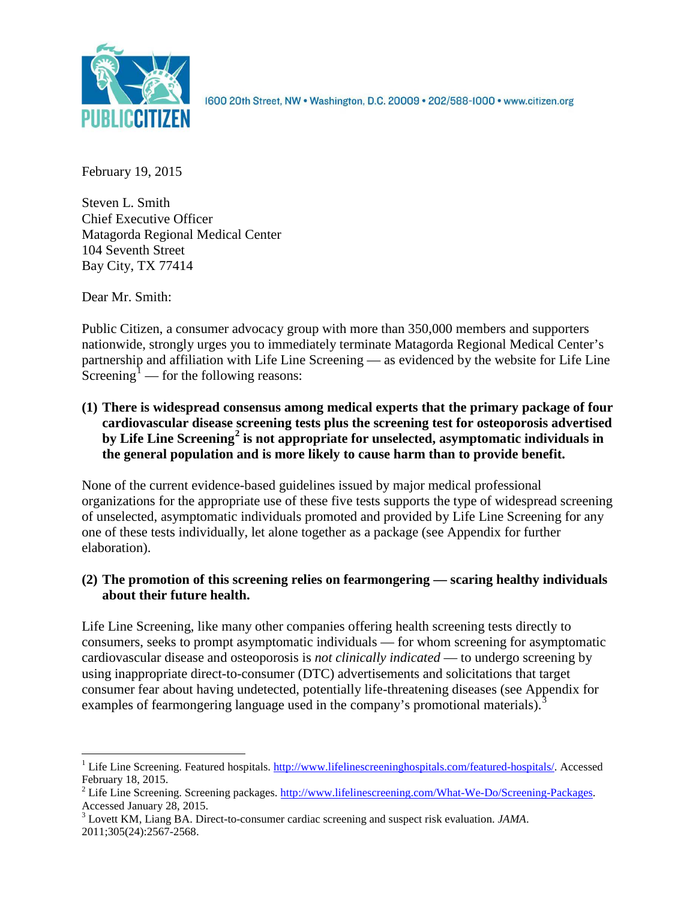

1600 20th Street, NW . Washington, D.C. 20009 . 202/588-1000 . www.citizen.org

February 19, 2015

Steven L. Smith Chief Executive Officer Matagorda Regional Medical Center 104 Seventh Street Bay City, TX 77414

Dear Mr. Smith:

Public Citizen, a consumer advocacy group with more than 350,000 members and supporters nationwide, strongly urges you to immediately terminate Matagorda Regional Medical Center's partnership and affiliation with Life Line Screening — as evidenced by the website for Life Line Screening<sup>[1](#page-0-0)</sup> — for the following reasons:

**(1) There is widespread consensus among medical experts that the primary package of four cardiovascular disease screening tests plus the screening test for osteoporosis advertised by Life Line Screening[2](#page-0-1) is not appropriate for unselected, asymptomatic individuals in the general population and is more likely to cause harm than to provide benefit.**

None of the current evidence-based guidelines issued by major medical professional organizations for the appropriate use of these five tests supports the type of widespread screening of unselected, asymptomatic individuals promoted and provided by Life Line Screening for any one of these tests individually, let alone together as a package (see Appendix for further elaboration).

# **(2) The promotion of this screening relies on fearmongering — scaring healthy individuals about their future health.**

Life Line Screening, like many other companies offering health screening tests directly to consumers, seeks to prompt asymptomatic individuals — for whom screening for asymptomatic cardiovascular disease and osteoporosis is *not clinically indicated* — to undergo screening by using inappropriate direct-to-consumer (DTC) advertisements and solicitations that target consumer fear about having undetected, potentially life-threatening diseases (see Appendix for examples of fearmongering language used in the company's promotional materials).<sup>[3](#page-0-2)</sup>

<span id="page-0-0"></span><sup>&</sup>lt;sup>1</sup> Life Line Screening. Featured hospitals. [http://www.lifelinescreeninghospitals.com/featured-hospitals/.](http://www.lifelinescreeninghospitals.com/featured-hospitals/) Accessed

<span id="page-0-1"></span>February 18, 2015.<br><sup>2</sup> Life Line Screening. Screening packages. [http://www.lifelinescreening.com/What-We-Do/Screening-Packages.](http://www.lifelinescreening.com/What-We-Do/Screening-Packages)<br>Accessed January 28, 2015.

<span id="page-0-2"></span><sup>&</sup>lt;sup>3</sup> Lovett KM, Liang BA. Direct-to-consumer cardiac screening and suspect risk evaluation. *JAMA*. 2011;305(24):2567-2568.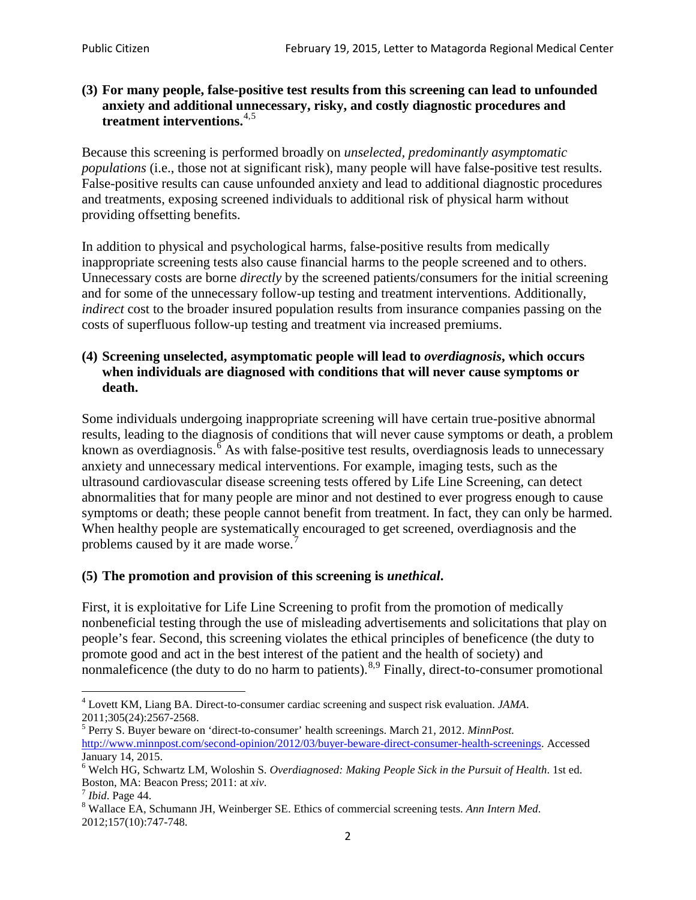### **(3) For many people, false-positive test results from this screening can lead to unfounded anxiety and additional unnecessary, risky, and costly diagnostic procedures and treatment interventions.**[4](#page-1-0),[5](#page-1-1)

Because this screening is performed broadly on *unselected, predominantly asymptomatic populations* (i.e., those not at significant risk), many people will have false**-**positive test results. False-positive results can cause unfounded anxiety and lead to additional diagnostic procedures and treatments, exposing screened individuals to additional risk of physical harm without providing offsetting benefits.

In addition to physical and psychological harms, false-positive results from medically inappropriate screening tests also cause financial harms to the people screened and to others. Unnecessary costs are borne *directly* by the screened patients/consumers for the initial screening and for some of the unnecessary follow-up testing and treatment interventions. Additionally, *indirect* cost to the broader insured population results from insurance companies passing on the costs of superfluous follow-up testing and treatment via increased premiums.

### **(4) Screening unselected, asymptomatic people will lead to** *overdiagnosis***, which occurs when individuals are diagnosed with conditions that will never cause symptoms or death.**

Some individuals undergoing inappropriate screening will have certain true-positive abnormal results, leading to the diagnosis of conditions that will never cause symptoms or death, a problem known as overdiagnosis.<sup>[6](#page-1-2)</sup> As with false-positive test results, overdiagnosis leads to unnecessary anxiety and unnecessary medical interventions. For example, imaging tests, such as the ultrasound cardiovascular disease screening tests offered by Life Line Screening, can detect abnormalities that for many people are minor and not destined to ever progress enough to cause symptoms or death; these people cannot benefit from treatment. In fact, they can only be harmed. When healthy people are systematically encouraged to get screened, overdiagnosis and the problems caused by it are made worse.<sup>[7](#page-1-3)</sup>

## **(5) The promotion and provision of this screening is** *unethical***.**

First, it is exploitative for Life Line Screening to profit from the promotion of medically nonbeneficial testing through the use of misleading advertisements and solicitations that play on people's fear. Second, this screening violates the ethical principles of beneficence (the duty to promote good and act in the best interest of the patient and the health of society) and nonmaleficence (the duty to do no harm to patients).<sup>[8](#page-1-4),[9](#page-1-5)</sup> Finally, direct-to-consumer promotional

<span id="page-1-4"></span>2012;157(10):747-748.

<span id="page-1-5"></span><span id="page-1-0"></span><sup>4</sup> Lovett KM, Liang BA. Direct-to-consumer cardiac screening and suspect risk evaluation. *JAMA*.

<span id="page-1-1"></span><sup>2011;305(24):2567-2568.</sup> <sup>5</sup> Perry S. Buyer beware on 'direct-to-consumer' health screenings. March 21, 2012. *MinnPost.*  [http://www.minnpost.com/second-opinion/2012/03/buyer-beware-direct-consumer-health-screenings.](http://www.minnpost.com/second-opinion/2012/03/buyer-beware-direct-consumer-health-screenings) Accessed January 14, 2015.

<span id="page-1-2"></span><sup>6</sup> Welch HG, Schwartz LM, Woloshin S. *Overdiagnosed: Making People Sick in the Pursuit of Health*. 1st ed. Boston, MA: Beacon Press; 2011: at *xiv*.<br><sup>7</sup> *Ibid*. Page 44.<br><sup>8</sup> Wallace EA, Schumann JH, Weinberger SE. Ethics of commercial screening tests. *Ann Intern Med*.

<span id="page-1-3"></span>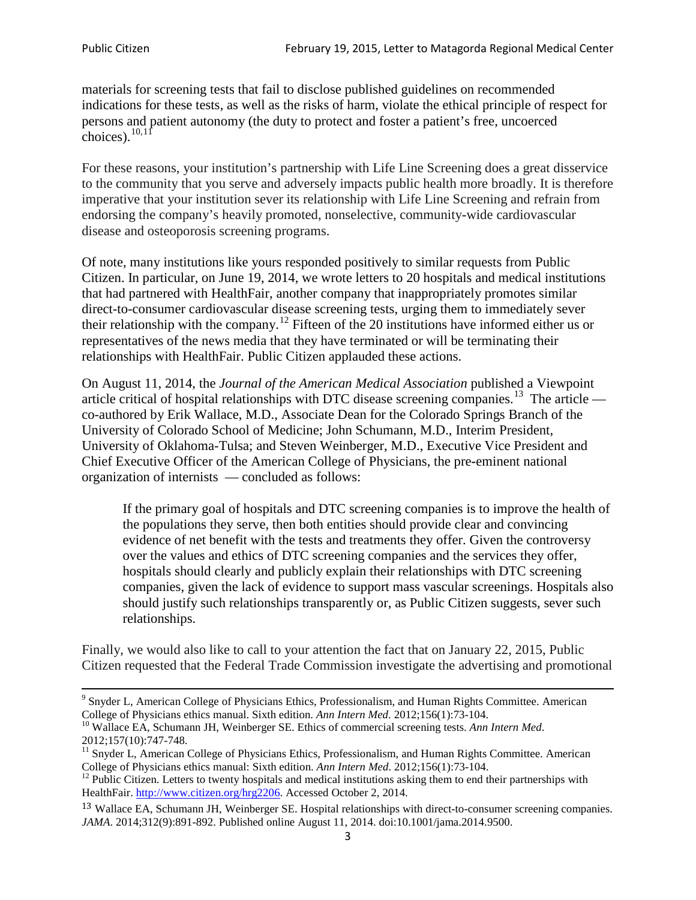materials for screening tests that fail to disclose published guidelines on recommended indications for these tests, as well as the risks of harm, violate the ethical principle of respect for persons and patient autonomy (the duty to protect and foster a patient's free, uncoerced choices). $10,11$  $10,11$ 

For these reasons, your institution's partnership with Life Line Screening does a great disservice to the community that you serve and adversely impacts public health more broadly. It is therefore imperative that your institution sever its relationship with Life Line Screening and refrain from endorsing the company's heavily promoted, nonselective, community**-**wide cardiovascular disease and osteoporosis screening programs.

Of note, many institutions like yours responded positively to similar requests from Public Citizen. In particular, on June 19, 2014, we wrote letters to 20 hospitals and medical institutions that had partnered with HealthFair, another company that inappropriately promotes similar direct-to-consumer cardiovascular disease screening tests, urging them to immediately sever their relationship with the company. [12](#page-2-2) Fifteen of the 20 institutions have informed either us or representatives of the news media that they have terminated or will be terminating their relationships with HealthFair. Public Citizen applauded these actions.

On August 11, 2014, the *Journal of the American Medical Association* published a Viewpoint article critical of hospital relationships with DTC disease screening companies.<sup>13</sup> The article co-authored by Erik Wallace, M.D., Associate Dean for the Colorado Springs Branch of the University of Colorado School of Medicine; John Schumann, M.D., Interim President, University of Oklahoma-Tulsa; and Steven Weinberger, M.D., Executive Vice President and Chief Executive Officer of the American College of Physicians, the pre**-**eminent national organization of internists — concluded as follows:

If the primary goal of hospitals and DTC screening companies is to improve the health of the populations they serve, then both entities should provide clear and convincing evidence of net benefit with the tests and treatments they offer. Given the controversy over the values and ethics of DTC screening companies and the services they offer, hospitals should clearly and publicly explain their relationships with DTC screening companies, given the lack of evidence to support mass vascular screenings. Hospitals also should justify such relationships transparently or, as Public Citizen suggests, sever such relationships.

Finally, we would also like to call to your attention the fact that on January 22, 2015, Public Citizen requested that the Federal Trade Commission investigate the advertising and promotional

<sup>&</sup>lt;sup>9</sup> Snyder L, American College of Physicians Ethics, Professionalism, and Human Rights Committee. American College of Physicians ethics manual. Sixth edition. Ann Intern Med. 2012;156(1):73-104.

<span id="page-2-0"></span><sup>&</sup>lt;sup>10</sup> Wallace EA, Schumann JH, Weinberger SE. Ethics of commercial screening tests. *Ann Intern Med*. 2012;157(10):747-748.

<span id="page-2-1"></span> $11$  Snyder L, American College of Physicians Ethics, Professionalism, and Human Rights Committee. American College of Physicians ethics manual: Sixth edition. *Ann Intern Med*. 2012;156(1):73-104.<br><sup>12</sup> Public Citizen. Letters to twenty hospitals and medical institutions asking them to end their partnerships with

<span id="page-2-2"></span>HealthFair. [http://www.citizen.org/hrg2206.](http://www.citizen.org/hrg2206) Accessed October 2, 2014.

<span id="page-2-3"></span><sup>13</sup> Wallace EA, Schumann JH, Weinberger SE. Hospital relationships with direct-to-consumer screening companies. *JAMA*. 2014;312(9):891-892. Published online August 11, 2014. doi:10.1001/jama.2014.9500.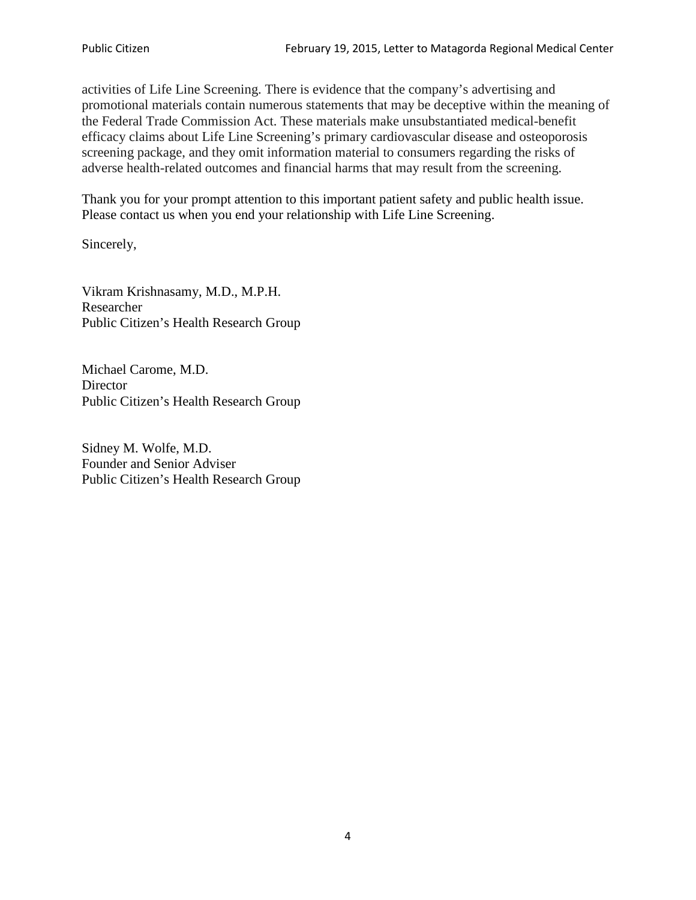activities of Life Line Screening. There is evidence that the company's advertising and promotional materials contain numerous statements that may be deceptive within the meaning of the Federal Trade Commission Act. These materials make unsubstantiated medical-benefit efficacy claims about Life Line Screening's primary cardiovascular disease and osteoporosis screening package, and they omit information material to consumers regarding the risks of adverse health-related outcomes and financial harms that may result from the screening.

Thank you for your prompt attention to this important patient safety and public health issue. Please contact us when you end your relationship with Life Line Screening.

Sincerely,

Vikram Krishnasamy, M.D., M.P.H. Researcher Public Citizen's Health Research Group

Michael Carome, M.D. **Director** Public Citizen's Health Research Group

Sidney M. Wolfe, M.D. Founder and Senior Adviser Public Citizen's Health Research Group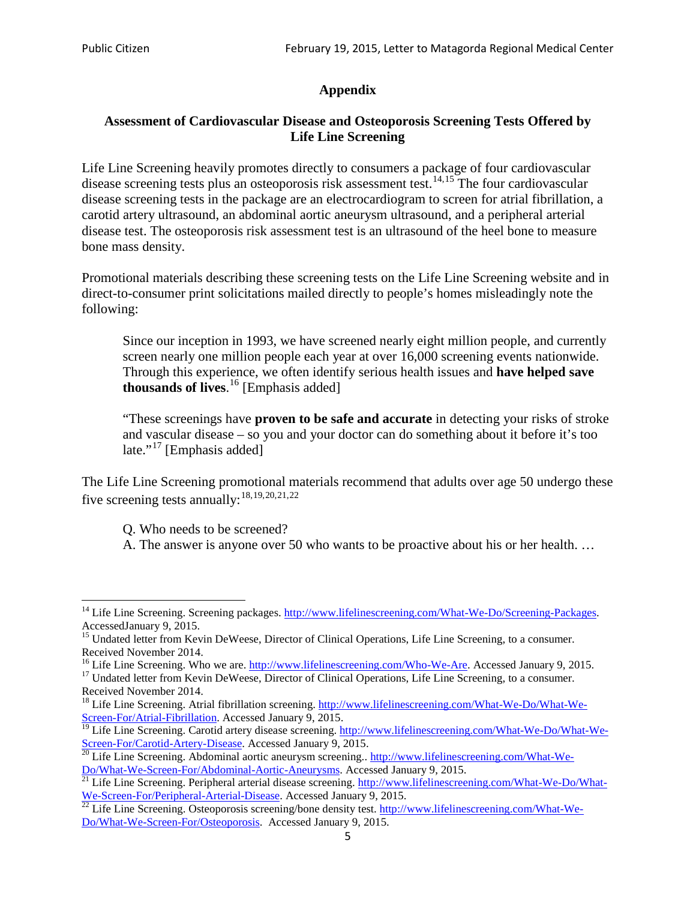## **Appendix**

### **Assessment of Cardiovascular Disease and Osteoporosis Screening Tests Offered by Life Line Screening**

Life Line Screening heavily promotes directly to consumers a package of four cardiovascular disease screening tests plus an osteoporosis risk assessment test.<sup>[14](#page-4-0),[15](#page-4-1)</sup> The four cardiovascular disease screening tests in the package are an electrocardiogram to screen for atrial fibrillation, a carotid artery ultrasound, an abdominal aortic aneurysm ultrasound, and a peripheral arterial disease test. The osteoporosis risk assessment test is an ultrasound of the heel bone to measure bone mass density.

Promotional materials describing these screening tests on the Life Line Screening website and in direct-to-consumer print solicitations mailed directly to people's homes misleadingly note the following:

Since our inception in 1993, we have screened nearly eight million people, and currently screen nearly one million people each year at over 16,000 screening events nationwide. Through this experience, we often identify serious health issues and **have helped save thousands of lives**. [16](#page-4-2) [Emphasis added]

"These screenings have **proven to be safe and accurate** in detecting your risks of stroke and vascular disease – so you and your doctor can do something about it before it's too late."<sup>[17](#page-4-3)</sup> [Emphasis added]

The Life Line Screening promotional materials recommend that adults over age 50 undergo these five screening tests annually:<sup>[18](#page-4-4),[19,](#page-4-5)[20,](#page-4-6)[21](#page-4-7),[22](#page-4-8)</sup>

Q. Who needs to be screened?

A. The answer is anyone over 50 who wants to be proactive about his or her health. …

<span id="page-4-0"></span><sup>&</sup>lt;sup>14</sup> Life Line Screening. Screening packages. [http://www.lifelinescreening.com/What-We-Do/Screening-Packages.](http://www.lifelinescreening.com/What-We-Do/Screening-Packages) AccessedJanuary 9, 2015.

<span id="page-4-1"></span><sup>&</sup>lt;sup>15</sup> Undated letter from Kevin DeWeese, Director of Clinical Operations, Life Line Screening, to a consumer.

Received November 2014.<br><sup>16</sup> Life Line Screening. Who we are. http://www.lifelinescreening.com/Who-We-Are. Accessed January 9, 2015.

<span id="page-4-3"></span><span id="page-4-2"></span><sup>&</sup>lt;sup>17</sup> Undated letter from Kevin DeWeese, Director of Clinical Operations, Life Line Screening, to a consumer. Received November 2014.

<span id="page-4-4"></span><sup>&</sup>lt;sup>18</sup> Life Line Screening. Atrial fibrillation screening. [http://www.lifelinescreening.com/What-We-Do/What-We-](http://www.lifelinescreening.com/What-We-Do/What-We-Screen-For/Atrial-Fibrillation)[Screen-For/Atrial-Fibrillation.](http://www.lifelinescreening.com/What-We-Do/What-We-Screen-For/Atrial-Fibrillation) Accessed January 9, 2015.

<sup>&</sup>lt;sup>19</sup> Life Line Screening. Carotid artery disease screening. [http://www.lifelinescreening.com/What-We-Do/What-We-](http://www.lifelinescreening.com/What-We-Do/What-We-Screen-For/Carotid-Artery-Disease)

<span id="page-4-6"></span><span id="page-4-5"></span>[Screen-For/Carotid-Artery-Disease.](http://www.lifelinescreening.com/What-We-Do/What-We-Screen-For/Carotid-Artery-Disease) Accessed January 9, 2015.<br><sup>20</sup> Life Line Screening. Abdominal aortic aneurysm screening.. http://www.lifelinescreening.com/What-We-Do/What-We-Do/What-We-Screen-For/Abdominal-Aortic-Aneury

<span id="page-4-7"></span><sup>&</sup>lt;sup>21</sup> Life Line Screening. Peripheral arterial disease screening. [http://www.lifelinescreening.com/What-We-Do/What-](http://www.lifelinescreening.com/What-We-Do/What-We-Screen-For/Peripheral-Arterial-Disease)

<span id="page-4-8"></span>[We-Screen-For/Peripheral-Arterial-Disease.](http://www.lifelinescreening.com/What-We-Do/What-We-Screen-For/Peripheral-Arterial-Disease) Accessed January 9, 2015.<br><sup>22</sup> Life Line Screening. Osteoporosis screening/bone density test. [http://www.lifelinescreening.com/What-We-](http://www.lifelinescreening.com/What-We-Do/What-We-Screen-For/Osteoporosis)[Do/What-We-Screen-For/Osteoporosis.](http://www.lifelinescreening.com/What-We-Do/What-We-Screen-For/Osteoporosis) Accessed January 9, 2015.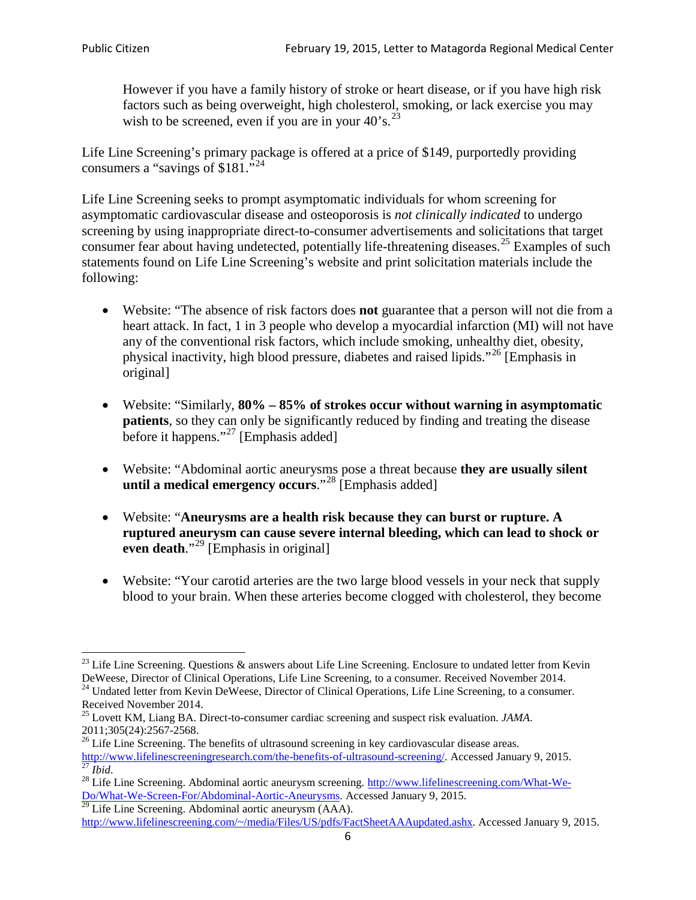However if you have a family history of stroke or heart disease, or if you have high risk factors such as being overweight, high cholesterol, smoking, or lack exercise you may wish to be screened, even if you are in your  $40^\circ$ s.<sup>[23](#page-5-0)</sup>

Life Line Screening's primary package is offered at a price of \$149, purportedly providing consumers a "savings of \$181."[24](#page-5-1)

Life Line Screening seeks to prompt asymptomatic individuals for whom screening for asymptomatic cardiovascular disease and osteoporosis is *not clinically indicated* to undergo screening by using inappropriate direct-to-consumer advertisements and solicitations that target consumer fear about having undetected, potentially life-threatening diseases.<sup>[25](#page-5-2)</sup> Examples of such statements found on Life Line Screening's website and print solicitation materials include the following:

- Website: "The absence of risk factors does **not** guarantee that a person will not die from a heart attack. In fact, 1 in 3 people who develop a myocardial infarction (MI) will not have any of the conventional risk factors, which include smoking, unhealthy diet, obesity, physical inactivity, high blood pressure, diabetes and raised lipids."[26](#page-5-3) [Emphasis in original]
- Website: "Similarly, **80% – 85% of strokes occur without warning in asymptomatic patients**, so they can only be significantly reduced by finding and treating the disease before it happens."<sup>[27](#page-5-4)</sup> [Emphasis added]
- Website: "Abdominal aortic aneurysms pose a threat because **they are usually silent until a medical emergency occurs**."[28](#page-5-5) [Emphasis added]
- Website: "**Aneurysms are a health risk because they can burst or rupture. A ruptured aneurysm can cause severe internal bleeding, which can lead to shock or even death.**"<sup>[29](#page-5-6)</sup> [Emphasis in original]
- Website: "Your carotid arteries are the two large blood vessels in your neck that supply blood to your brain. When these arteries become clogged with cholesterol, they become

<span id="page-5-0"></span><sup>&</sup>lt;sup>23</sup> Life Line Screening. Questions  $\&$  answers about Life Line Screening. Enclosure to undated letter from Kevin DeWeese, Director of Clinical Operations, Life Line Screening, to a consumer. Received November 2014.

<span id="page-5-1"></span><sup>&</sup>lt;sup>24</sup> Undated letter from Kevin DeWeese, Director of Clinical Operations, Life Line Screening, to a consumer. Received November 2014.

<span id="page-5-2"></span><sup>25</sup> Lovett KM, Liang BA. Direct-to-consumer cardiac screening and suspect risk evaluation. *JAMA*.  $2011;305(24):2567-2568$ .<br><sup>26</sup> Life Line Screening. The benefits of ultrasound screening in key cardiovascular disease areas.

<span id="page-5-3"></span>[http://www.lifelinescreeningresearch.com/the-benefits-of-ultrasound-screening/.](http://www.lifelinescreeningresearch.com/the-benefits-of-ultrasound-screening/) Accessed January 9, 2015.<br><sup>28</sup> Life Line Screening. Abdominal aortic aneurysm screening. http://www.lifelinescreening.com/What-We-<sup>28</sup>

<span id="page-5-5"></span><span id="page-5-4"></span>[Do/What-We-Screen-For/Abdominal-Aortic-Aneurysms.](http://www.lifelinescreening.com/What-We-Do/What-We-Screen-For/Abdominal-Aortic-Aneurysms) Accessed January 9, 2015. <sup>29</sup> Life Line Screening. Abdominal aortic aneurysm (AAA).

<span id="page-5-6"></span>[http://www.lifelinescreening.com/~/media/Files/US/pdfs/FactSheetAAAupdated.ashx.](http://www.lifelinescreening.com/~/media/Files/US/pdfs/FactSheetAAAupdated.ashx) Accessed January 9, 2015.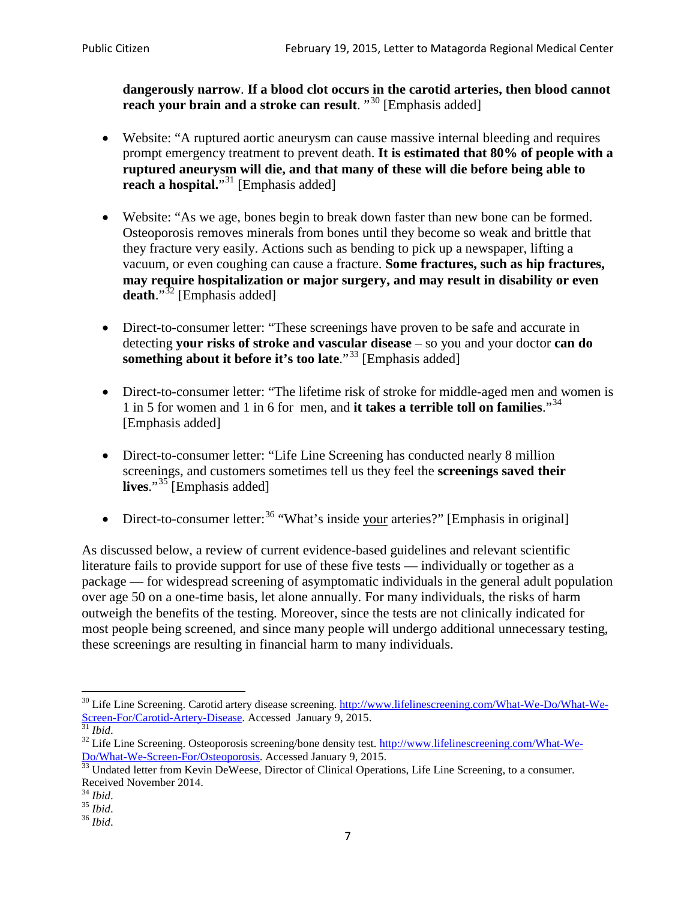**dangerously narrow**. **If a blood clot occurs in the carotid arteries, then blood cannot reach your brain and a stroke can result**. "<sup>[30](#page-6-0)</sup> [Emphasis added]

- Website: "A ruptured aortic aneurysm can cause massive internal bleeding and requires prompt emergency treatment to prevent death. **It is estimated that 80% of people with a ruptured aneurysm will die, and that many of these will die before being able to reach a hospital.**"<sup>[31](#page-6-1)</sup> [Emphasis added]
- Website: "As we age, bones begin to break down faster than new bone can be formed. Osteoporosis removes minerals from bones until they become so weak and brittle that they fracture very easily. Actions such as bending to pick up a newspaper, lifting a vacuum, or even coughing can cause a fracture. **Some fractures, such as hip fractures, may require hospitalization or major surgery, and may result in disability or even**  death."<sup>[32](#page-6-2)</sup> [Emphasis added]
- Direct-to-consumer letter: "These screenings have proven to be safe and accurate in detecting **your risks of stroke and vascular disease** – so you and your doctor **can do something about it before it's too late.**"<sup>[33](#page-6-3)</sup> [Emphasis added]
- Direct-to-consumer letter: "The lifetime risk of stroke for middle-aged men and women is 1 in 5 for women and 1 in 6 for men, and **it takes a terrible toll on families**."[34](#page-6-4) [Emphasis added]
- Direct-to-consumer letter: "Life Line Screening has conducted nearly 8 million screenings, and customers sometimes tell us they feel the **screenings saved their lives**."[35](#page-6-5) [Emphasis added]
- Direct-to-consumer letter:  $36$  "What's inside your arteries?" [Emphasis in original]

As discussed below, a review of current evidence-based guidelines and relevant scientific literature fails to provide support for use of these five tests — individually or together as a package — for widespread screening of asymptomatic individuals in the general adult population over age 50 on a one-time basis, let alone annually. For many individuals, the risks of harm outweigh the benefits of the testing. Moreover, since the tests are not clinically indicated for most people being screened, and since many people will undergo additional unnecessary testing, these screenings are resulting in financial harm to many individuals.

<span id="page-6-0"></span><sup>&</sup>lt;sup>30</sup> Life Line Screening. Carotid artery disease screening. [http://www.lifelinescreening.com/What-We-Do/What-We-](http://www.lifelinescreening.com/What-We-Do/What-We-Screen-For/Carotid-Artery-Disease)[Screen-For/Carotid-Artery-Disease.](http://www.lifelinescreening.com/What-We-Do/What-We-Screen-For/Carotid-Artery-Disease) Accessed January 9, 2015.<br><sup>31</sup> *Ibid.* 32 Life Line Screening. Osteoporosis screening/bone density test. [http://www.lifelinescreening.com/What-We-](http://www.lifelinescreening.com/What-We-Do/What-We-Screen-For/Osteoporosis)

<span id="page-6-2"></span><span id="page-6-1"></span>[Do/What-We-Screen-For/Osteoporosis.](http://www.lifelinescreening.com/What-We-Do/What-We-Screen-For/Osteoporosis) Accessed January 9, 2015. <sup>33</sup> Undated letter from Kevin DeWeese, Director of Clinical Operations, Life Line Screening, to a consumer.

<span id="page-6-3"></span>Received November 2014.<br><sup>34</sup> Ibid.

<span id="page-6-4"></span>

<span id="page-6-5"></span><sup>34</sup> *Ibid*. 35 *Ibid*. 36 *Ibid*.

<span id="page-6-6"></span>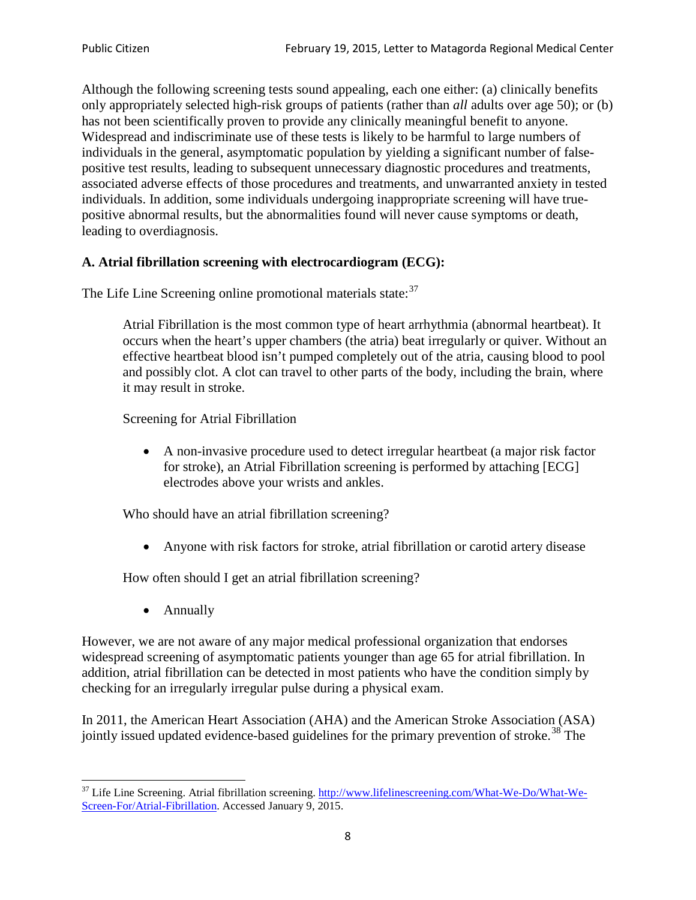Although the following screening tests sound appealing, each one either: (a) clinically benefits only appropriately selected high-risk groups of patients (rather than *all* adults over age 50); or (b) has not been scientifically proven to provide any clinically meaningful benefit to anyone. Widespread and indiscriminate use of these tests is likely to be harmful to large numbers of individuals in the general, asymptomatic population by yielding a significant number of falsepositive test results, leading to subsequent unnecessary diagnostic procedures and treatments, associated adverse effects of those procedures and treatments, and unwarranted anxiety in tested individuals. In addition, some individuals undergoing inappropriate screening will have truepositive abnormal results, but the abnormalities found will never cause symptoms or death, leading to overdiagnosis.

# **A. Atrial fibrillation screening with electrocardiogram (ECG):**

The Life Line Screening online promotional materials state:<sup>[37](#page-7-0)</sup>

Atrial Fibrillation is the most common type of heart arrhythmia (abnormal heartbeat). It occurs when the heart's upper chambers (the atria) beat irregularly or quiver. Without an effective heartbeat blood isn't pumped completely out of the atria, causing blood to pool and possibly clot. A clot can travel to other parts of the body, including the brain, where it may result in stroke.

Screening for Atrial Fibrillation

• A non-invasive procedure used to detect irregular heartbeat (a major risk factor for stroke), an Atrial Fibrillation screening is performed by attaching [ECG] electrodes above your wrists and ankles.

Who should have an atrial fibrillation screening?

• Anyone with risk factors for stroke, atrial fibrillation or carotid artery disease

How often should I get an atrial fibrillation screening?

• Annually

<span id="page-7-1"></span>However, we are not aware of any major medical professional organization that endorses widespread screening of asymptomatic patients younger than age 65 for atrial fibrillation. In addition, atrial fibrillation can be detected in most patients who have the condition simply by checking for an irregularly irregular pulse during a physical exam.

In 2011, the American Heart Association (AHA) and the American Stroke Association (ASA) jointly issued updated evidence-based guidelines for the primary prevention of stroke.<sup>[38](#page-7-1)</sup> The

<span id="page-7-0"></span><sup>&</sup>lt;sup>37</sup> Life Line Screening. Atrial fibrillation screening. [http://www.lifelinescreening.com/What-We-Do/What-We-](http://www.lifelinescreening.com/What-We-Do/What-We-Screen-For/Atrial-Fibrillation)[Screen-For/Atrial-Fibrillation.](http://www.lifelinescreening.com/What-We-Do/What-We-Screen-For/Atrial-Fibrillation) Accessed January 9, 2015.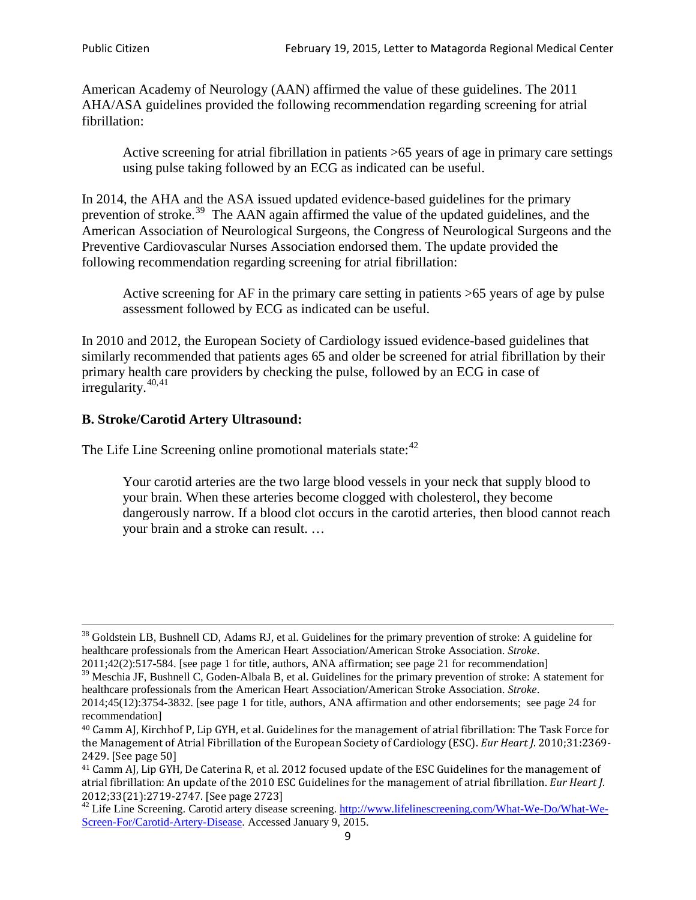American Academy of Neurology (AAN) affirmed the value of these guidelines. The 2011 AHA/ASA guidelines provided the following recommendation regarding screening for atrial fibrillation:

Active screening for atrial fibrillation in patients >65 years of age in primary care settings using pulse taking followed by an ECG as indicated can be useful.

In 2014, the AHA and the ASA issued updated evidence-based guidelines for the primary prevention of stroke.<sup>[39](#page-8-0)</sup> The AAN again affirmed the value of the updated guidelines, and the American Association of Neurological Surgeons, the Congress of Neurological Surgeons and the Preventive Cardiovascular Nurses Association endorsed them. The update provided the following recommendation regarding screening for atrial fibrillation:

Active screening for AF in the primary care setting in patients >65 years of age by pulse assessment followed by ECG as indicated can be useful.

In 2010 and 2012, the European Society of Cardiology issued evidence-based guidelines that similarly recommended that patients ages 65 and older be screened for atrial fibrillation by their primary health care providers by checking the pulse, followed by an ECG in case of irregularity. $40,41$  $40,41$ 

# **B. Stroke/Carotid Artery Ultrasound:**

The Life Line Screening online promotional materials state:<sup>[42](#page-8-3)</sup>

Your carotid arteries are the two large blood vessels in your neck that supply blood to your brain. When these arteries become clogged with cholesterol, they become dangerously narrow. If a blood clot occurs in the carotid arteries, then blood cannot reach your brain and a stroke can result. …

<sup>&</sup>lt;sup>38</sup> Goldstein LB, Bushnell CD, Adams RJ, et al. Guidelines for the primary prevention of stroke: A guideline for healthcare professionals from the American Heart Association/American Stroke Association. *Stroke*.

<sup>2011;42(2):517-584.</sup> [see page 1 for title, authors, ANA affirmation; see page 21 for recommendation]

<span id="page-8-0"></span> $\frac{2011,42(2)(317,601)}{39}$  Meschia JF, Bushnell C, Goden-Albala B, et al. Guidelines for the primary prevention of stroke: A statement for healthcare professionals from the American Heart Association/American Stroke Association. *Stroke*.

<sup>2014;45(12):3754-3832.</sup> [see page 1 for title, authors, ANA affirmation and other endorsements; see page 24 for recommendation]

<span id="page-8-1"></span><sup>40</sup> Camm AJ, Kirchhof P, Lip GYH, et al. Guidelines for the management of atrial fibrillation: The Task Force for the Management of Atrial Fibrillation of the European Society of Cardiology (ESC). *Eur Heart J*. 2010;31:2369- 2429. [See page 50]

<span id="page-8-2"></span><sup>41</sup> Camm AJ, Lip GYH, De Caterina R, et al. 2012 focused update of the ESC Guidelines for the management of atrial fibrillation: An update of the 2010 ESC Guidelines for the management of atrial fibrillation. *Eur Heart J*.

<span id="page-8-3"></span><sup>&</sup>lt;sup>2012</sup>;23(21):2719-2747. [See page 273] 42 Life Line Screening. [http://www.lifelinescreening.com/What-We-Do/What-We-](http://www.lifelinescreening.com/What-We-Do/What-We-Screen-For/Carotid-Artery-Disease)[Screen-For/Carotid-Artery-Disease.](http://www.lifelinescreening.com/What-We-Do/What-We-Screen-For/Carotid-Artery-Disease) Accessed January 9, 2015.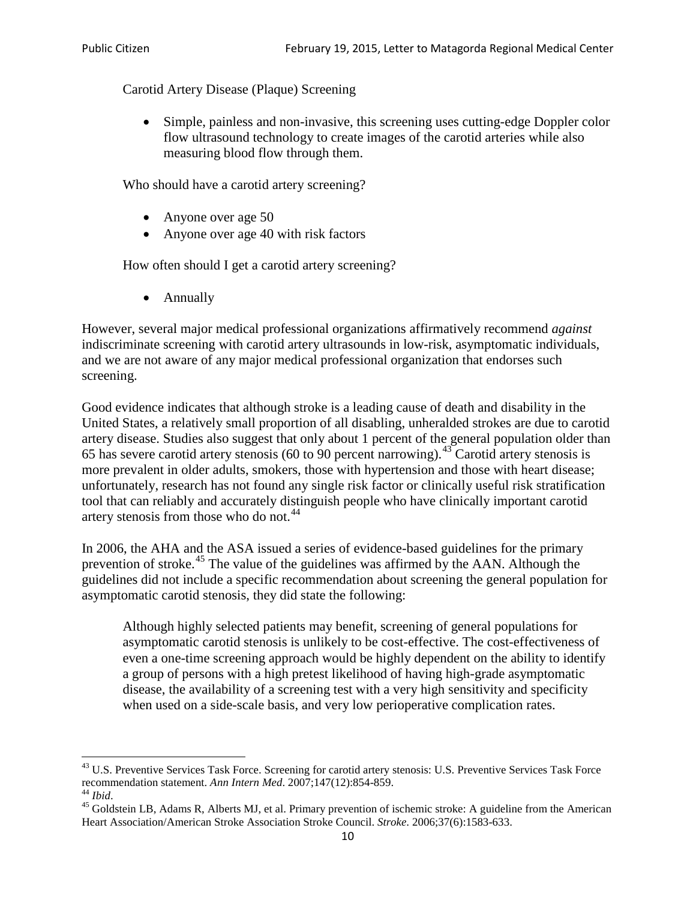Carotid Artery Disease (Plaque) Screening

• Simple, painless and non-invasive, this screening uses cutting-edge Doppler color flow ultrasound technology to create images of the carotid arteries while also measuring blood flow through them.

Who should have a carotid artery screening?

- Anyone over age 50
- Anyone over age 40 with risk factors

How often should I get a carotid artery screening?

• Annually

However, several major medical professional organizations affirmatively recommend *against* indiscriminate screening with carotid artery ultrasounds in low-risk, asymptomatic individuals, and we are not aware of any major medical professional organization that endorses such screening.

Good evidence indicates that although stroke is a leading cause of death and disability in the United States, a relatively small proportion of all disabling, unheralded strokes are due to carotid artery disease. Studies also suggest that only about 1 percent of the general population older than 65 has severe carotid artery stenosis (60 to 90 percent narrowing).<sup>[43](#page-9-0)</sup> Carotid artery stenosis is more prevalent in older adults, smokers, those with hypertension and those with heart disease; unfortunately, research has not found any single risk factor or clinically useful risk stratification tool that can reliably and accurately distinguish people who have clinically important carotid artery stenosis from those who do not.<sup>[44](#page-9-1)</sup>

In 2006, the AHA and the ASA issued a series of evidence-based guidelines for the primary prevention of stroke.[45](#page-9-2) The value of the guidelines was affirmed by the AAN. Although the guidelines did not include a specific recommendation about screening the general population for asymptomatic carotid stenosis, they did state the following:

Although highly selected patients may benefit, screening of general populations for asymptomatic carotid stenosis is unlikely to be cost-effective. The cost-effectiveness of even a one-time screening approach would be highly dependent on the ability to identify a group of persons with a high pretest likelihood of having high-grade asymptomatic disease, the availability of a screening test with a very high sensitivity and specificity when used on a side-scale basis, and very low perioperative complication rates.

<span id="page-9-0"></span> $^{43}$  U.S. Preventive Services Task Force. Screening for carotid artery stenosis: U.S. Preventive Services Task Force recommendation statement. Ann Intern Med. 2007;147(12):854-859.

<span id="page-9-2"></span><span id="page-9-1"></span><sup>&</sup>lt;sup>44</sup> *Ibid*. <sup>45</sup> Goldstein LB, Adams R, Alberts MJ, et al. Primary prevention of ischemic stroke: A guideline from the American <sup>45</sup> Goldstein LB, Adams R, Alberts MJ, et al. Primary prevention of ischemic stroke: A guide Heart Association/American Stroke Association Stroke Council. *Stroke*. 2006;37(6):1583-633.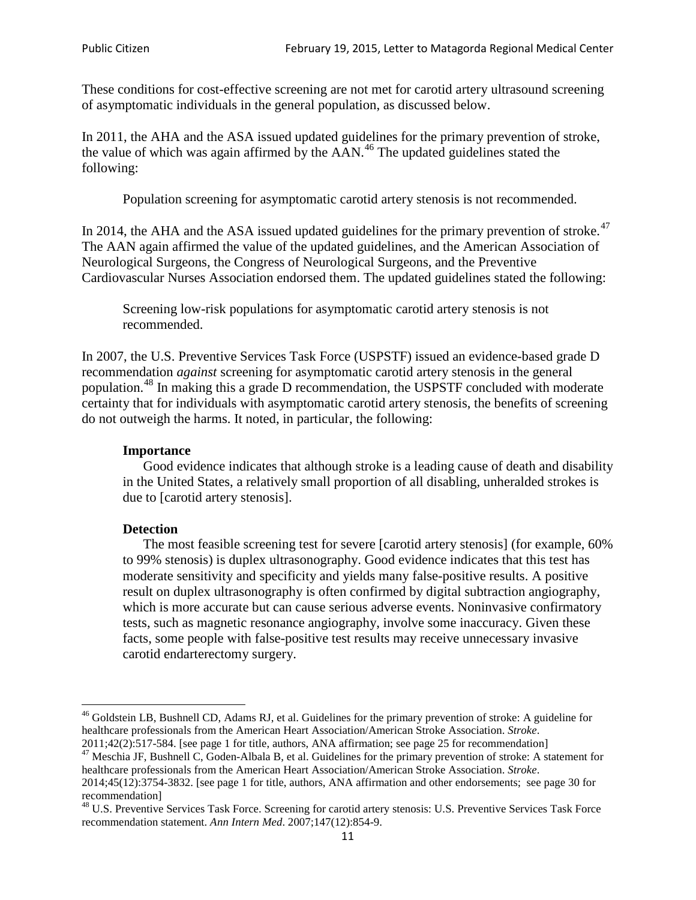These conditions for cost-effective screening are not met for carotid artery ultrasound screening of asymptomatic individuals in the general population, as discussed below.

In 2011, the AHA and the ASA issued updated guidelines for the primary prevention of stroke, the value of which was again affirmed by the  $AAN<sup>46</sup>$  $AAN<sup>46</sup>$  $AAN<sup>46</sup>$ . The updated guidelines stated the following:

Population screening for asymptomatic carotid artery stenosis is not recommended.

In 2014, the AHA and the ASA issued updated guidelines for the primary prevention of stroke.<sup>47</sup> The AAN again affirmed the value of the updated guidelines, and the American Association of Neurological Surgeons, the Congress of Neurological Surgeons, and the Preventive Cardiovascular Nurses Association endorsed them. The updated guidelines stated the following:

Screening low-risk populations for asymptomatic carotid artery stenosis is not recommended.

In 2007, the U.S. Preventive Services Task Force (USPSTF) issued an evidence-based grade D recommendation *against* screening for asymptomatic carotid artery stenosis in the general population.[48](#page-10-2) In making this a grade D recommendation, the USPSTF concluded with moderate certainty that for individuals with asymptomatic carotid artery stenosis, the benefits of screening do not outweigh the harms. It noted, in particular, the following:

#### **Importance**

Good evidence indicates that although stroke is a leading cause of death and disability in the United States, a relatively small proportion of all disabling, unheralded strokes is due to [carotid artery stenosis].

#### **Detection**

The most feasible screening test for severe [carotid artery stenosis] (for example, 60% to 99% stenosis) is duplex ultrasonography. Good evidence indicates that this test has moderate sensitivity and specificity and yields many false-positive results. A positive result on duplex ultrasonography is often confirmed by digital subtraction angiography, which is more accurate but can cause serious adverse events. Noninvasive confirmatory tests, such as magnetic resonance angiography, involve some inaccuracy. Given these facts, some people with false-positive test results may receive unnecessary invasive carotid endarterectomy surgery.

<span id="page-10-0"></span><sup>&</sup>lt;sup>46</sup> Goldstein LB, Bushnell CD, Adams RJ, et al. Guidelines for the primary prevention of stroke: A guideline for healthcare professionals from the American Heart Association/American Stroke Association. *Stroke*.<br>2011;42(2):517-584. [see page 1 for title, authors, ANA affirmation; see page 25 for recommendation]

<span id="page-10-1"></span><sup>&</sup>lt;sup>47</sup> Meschia JF, Bushnell C, Goden-Albala B, et al. Guidelines for the primary prevention of stroke: A statement for healthcare professionals from the American Heart Association/American Stroke Association. *Stroke*. 2014;45(12):3754-3832. [see page 1 for title, authors, ANA affirmation and other endorsements; see page 30 for

recommendation]

<span id="page-10-2"></span><sup>&</sup>lt;sup>48</sup> U.S. Preventive Services Task Force. Screening for carotid artery stenosis: U.S. Preventive Services Task Force recommendation statement. *Ann Intern Med*. 2007;147(12):854-9.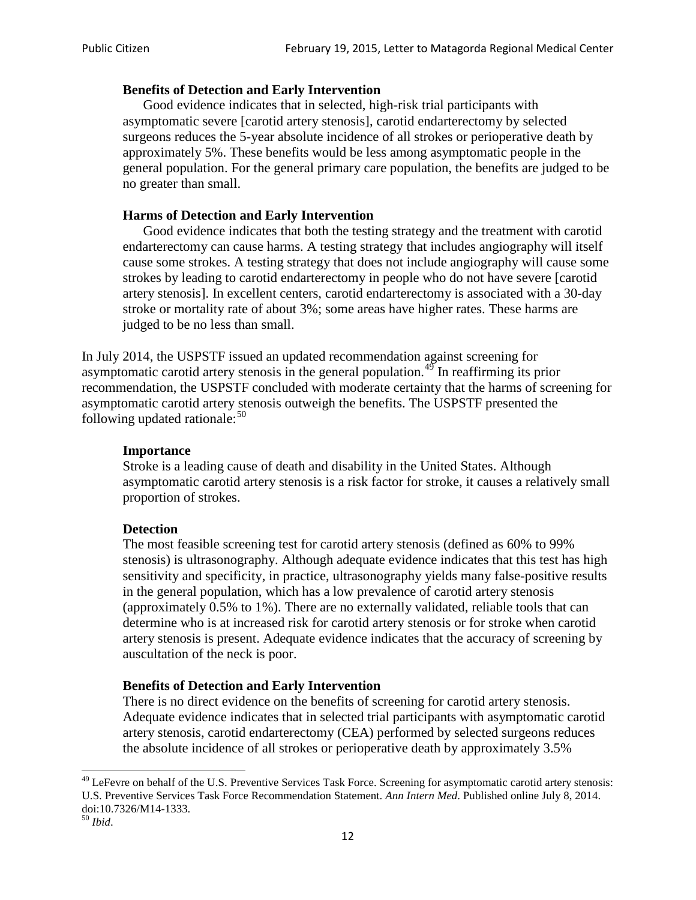#### **Benefits of Detection and Early Intervention**

Good evidence indicates that in selected, high-risk trial participants with asymptomatic severe [carotid artery stenosis], carotid endarterectomy by selected surgeons reduces the 5-year absolute incidence of all strokes or perioperative death by approximately 5%. These benefits would be less among asymptomatic people in the general population. For the general primary care population, the benefits are judged to be no greater than small.

### **Harms of Detection and Early Intervention**

Good evidence indicates that both the testing strategy and the treatment with carotid endarterectomy can cause harms. A testing strategy that includes angiography will itself cause some strokes. A testing strategy that does not include angiography will cause some strokes by leading to carotid endarterectomy in people who do not have severe [carotid artery stenosis]. In excellent centers, carotid endarterectomy is associated with a 30-day stroke or mortality rate of about 3%; some areas have higher rates. These harms are judged to be no less than small.

In July 2014, the USPSTF issued an updated recommendation against screening for asymptomatic carotid artery stenosis in the general population.<sup>[49](#page-11-0)</sup> In reaffirming its prior recommendation, the USPSTF concluded with moderate certainty that the harms of screening for asymptomatic carotid artery stenosis outweigh the benefits. The USPSTF presented the following updated rationale: $50$ 

#### **Importance**

Stroke is a leading cause of death and disability in the United States. Although asymptomatic carotid artery stenosis is a risk factor for stroke, it causes a relatively small proportion of strokes.

#### **Detection**

The most feasible screening test for carotid artery stenosis (defined as 60% to 99% stenosis) is ultrasonography. Although adequate evidence indicates that this test has high sensitivity and specificity, in practice, ultrasonography yields many false-positive results in the general population, which has a low prevalence of carotid artery stenosis (approximately 0.5% to 1%). There are no externally validated, reliable tools that can determine who is at increased risk for carotid artery stenosis or for stroke when carotid artery stenosis is present. Adequate evidence indicates that the accuracy of screening by auscultation of the neck is poor.

## **Benefits of Detection and Early Intervention**

There is no direct evidence on the benefits of screening for carotid artery stenosis. Adequate evidence indicates that in selected trial participants with asymptomatic carotid artery stenosis, carotid endarterectomy (CEA) performed by selected surgeons reduces the absolute incidence of all strokes or perioperative death by approximately 3.5%

<span id="page-11-0"></span><sup>&</sup>lt;sup>49</sup> LeFevre on behalf of the U.S. Preventive Services Task Force. Screening for asymptomatic carotid artery stenosis: U.S. Preventive Services Task Force Recommendation Statement. *Ann Intern Med*. Published online July 8, 2014. doi:10.7326/M14-1333. <sup>50</sup> *Ibid*.

<span id="page-11-1"></span>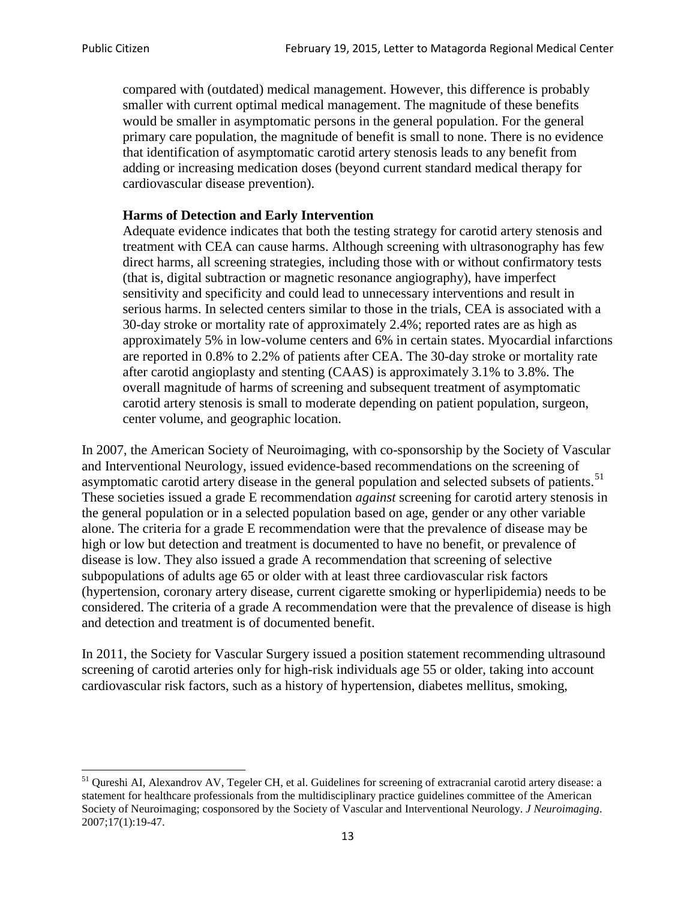compared with (outdated) medical management. However, this difference is probably smaller with current optimal medical management. The magnitude of these benefits would be smaller in asymptomatic persons in the general population. For the general primary care population, the magnitude of benefit is small to none. There is no evidence that identification of asymptomatic carotid artery stenosis leads to any benefit from adding or increasing medication doses (beyond current standard medical therapy for cardiovascular disease prevention).

### **Harms of Detection and Early Intervention**

Adequate evidence indicates that both the testing strategy for carotid artery stenosis and treatment with CEA can cause harms. Although screening with ultrasonography has few direct harms, all screening strategies, including those with or without confirmatory tests (that is, digital subtraction or magnetic resonance angiography), have imperfect sensitivity and specificity and could lead to unnecessary interventions and result in serious harms. In selected centers similar to those in the trials, CEA is associated with a 30-day stroke or mortality rate of approximately 2.4%; reported rates are as high as approximately 5% in low-volume centers and 6% in certain states. Myocardial infarctions are reported in 0.8% to 2.2% of patients after CEA. The 30-day stroke or mortality rate after carotid angioplasty and stenting (CAAS) is approximately 3.1% to 3.8%. The overall magnitude of harms of screening and subsequent treatment of asymptomatic carotid artery stenosis is small to moderate depending on patient population, surgeon, center volume, and geographic location.

In 2007, the American Society of Neuroimaging, with co-sponsorship by the Society of Vascular and Interventional Neurology, issued evidence-based recommendations on the screening of asymptomatic carotid artery disease in the general population and selected subsets of patients.<sup>[51](#page-12-0)</sup> These societies issued a grade E recommendation *against* screening for carotid artery stenosis in the general population or in a selected population based on age, gender or any other variable alone. The criteria for a grade E recommendation were that the prevalence of disease may be high or low but detection and treatment is documented to have no benefit, or prevalence of disease is low. They also issued a grade A recommendation that screening of selective subpopulations of adults age 65 or older with at least three cardiovascular risk factors (hypertension, coronary artery disease, current cigarette smoking or hyperlipidemia) needs to be considered. The criteria of a grade A recommendation were that the prevalence of disease is high and detection and treatment is of documented benefit.

In 2011, the Society for Vascular Surgery issued a position statement recommending ultrasound screening of carotid arteries only for high-risk individuals age 55 or older, taking into account cardiovascular risk factors, such as a history of hypertension, diabetes mellitus, smoking,

<span id="page-12-0"></span><sup>&</sup>lt;sup>51</sup> Qureshi AI, Alexandrov AV, Tegeler CH, et al. Guidelines for screening of extracranial carotid artery disease: a statement for healthcare professionals from the multidisciplinary practice guidelines committee of the American Society of Neuroimaging; cosponsored by the Society of Vascular and Interventional Neurology. *J Neuroimaging*. 2007;17(1):19-47.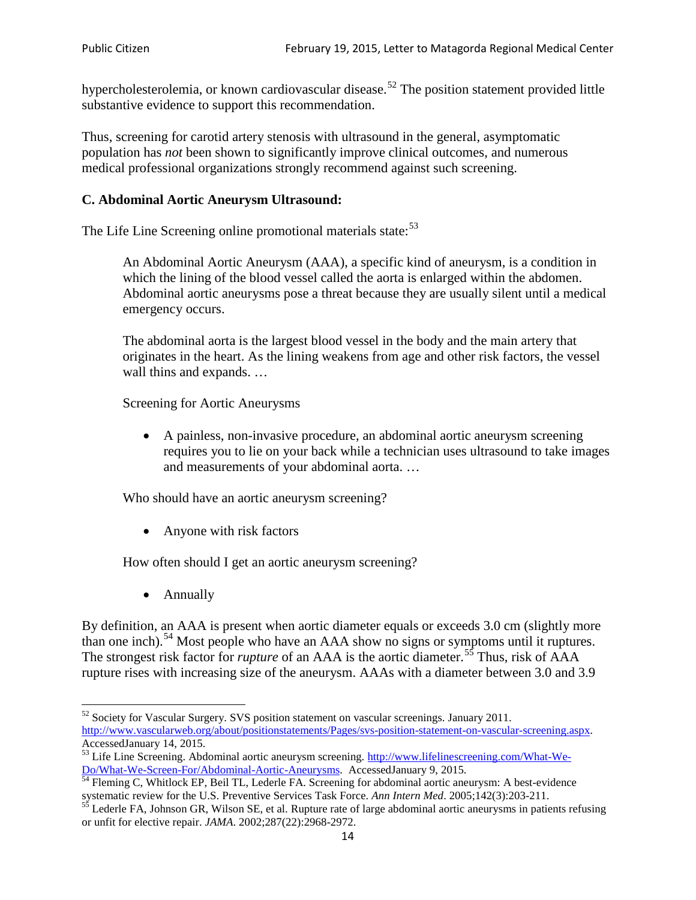hypercholesterolemia, or known cardiovascular disease.<sup>[52](#page-13-0)</sup> The position statement provided little substantive evidence to support this recommendation.

Thus, screening for carotid artery stenosis with ultrasound in the general, asymptomatic population has *not* been shown to significantly improve clinical outcomes, and numerous medical professional organizations strongly recommend against such screening.

## **C. Abdominal Aortic Aneurysm Ultrasound:**

The Life Line Screening online promotional materials state:<sup>[53](#page-13-1)</sup>

An Abdominal Aortic Aneurysm (AAA), a specific kind of aneurysm, is a condition in which the lining of the blood vessel called the aorta is enlarged within the abdomen. Abdominal aortic aneurysms pose a threat because they are usually silent until a medical emergency occurs.

The abdominal aorta is the largest blood vessel in the body and the main artery that originates in the heart. As the lining weakens from age and other risk factors, the vessel wall thins and expands. …

Screening for Aortic Aneurysms

• A painless, non-invasive procedure, an abdominal aortic aneurysm screening requires you to lie on your back while a technician uses ultrasound to take images and measurements of your abdominal aorta. …

Who should have an aortic aneurysm screening?

• Anyone with risk factors

How often should I get an aortic aneurysm screening?

• Annually

By definition, an AAA is present when aortic diameter equals or exceeds 3.0 cm (slightly more than one inch).<sup>[54](#page-13-2)</sup> Most people who have an AAA show no signs or symptoms until it ruptures. The strongest risk factor for *rupture* of an AAA is the aortic diameter.<sup>[55](#page-13-3)</sup> Thus, risk of AAA rupture rises with increasing size of the aneurysm. AAAs with a diameter between 3.0 and 3.9

<span id="page-13-0"></span><sup>&</sup>lt;sup>52</sup> Society for Vascular Surgery. SVS position statement on vascular screenings. January 2011. http://www.vascularweb.org/about/positionstatements/Pages/svs-position-statement-on-vascular-screening.aspx.<br>Accessed January 14, 2015.

<span id="page-13-1"></span>Accessed January 14, 2015.<br>
Sa Life Line Screening. Abdominal aortic aneurysm screening. http://www.lifelinescreening.com/What-We-<br>
Do/What-We-Screen-For/Abdominal-Aortic-Aneurysms. Accessed January 9, 2015.

<span id="page-13-2"></span> $\frac{1}{54}$  Fleming C, Whitlock EP, Beil TL, Lederle FA. Screening for abdominal aortic aneurysm: A best-evidence systematic review for the U.S. Preventive Services Task Force. *Ann Intern Med.* 2005;142(3):203-211.<br><sup>55</sup> Lederle FA, Johnson GR, Wilson SE, et al. Rupture rate of large abdominal aortic aneurysms in patients refusing

<span id="page-13-3"></span>or unfit for elective repair. *JAMA*. 2002;287(22):2968-2972.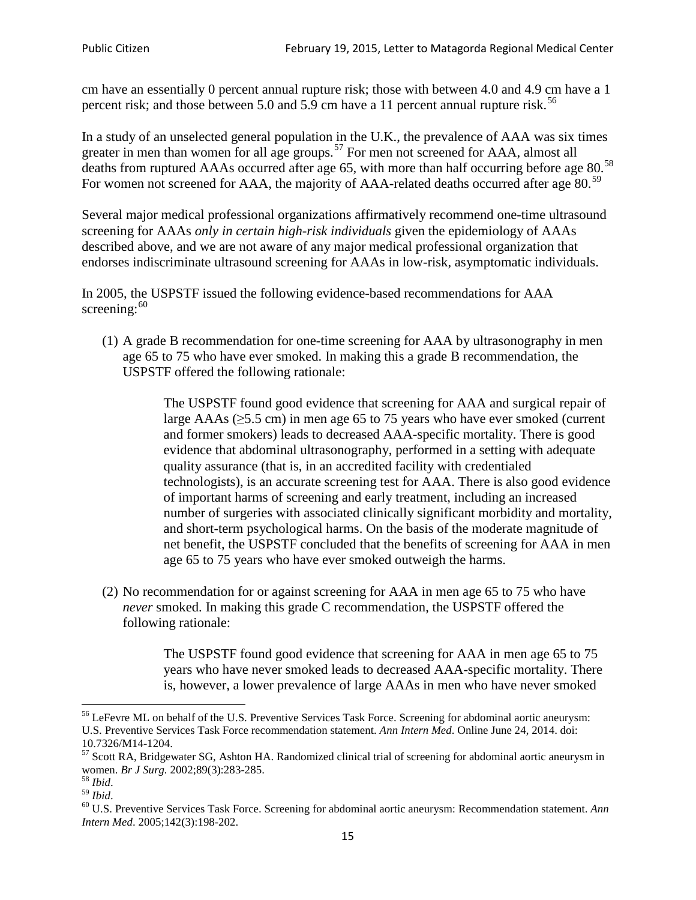cm have an essentially 0 percent annual rupture risk; those with between 4.0 and 4.9 cm have a 1 percent risk; and those between 5.0 and 5.9 cm have a 11 percent annual rupture risk.<sup>[56](#page-14-0)</sup>

In a study of an unselected general population in the U.K., the prevalence of AAA was six times greater in men than women for all age groups.<sup>[57](#page-14-1)</sup> For men not screened for  $AAA$ , almost all deaths from ruptured AAAs occurred after age 65, with more than half occurring before age 80.<sup>[58](#page-14-2)</sup> For women not screened for AAA, the majority of AAA-related deaths occurred after age 80.<sup>[59](#page-14-3)</sup>

Several major medical professional organizations affirmatively recommend one-time ultrasound screening for AAAs *only in certain high-risk individuals* given the epidemiology of AAAs described above, and we are not aware of any major medical professional organization that endorses indiscriminate ultrasound screening for AAAs in low-risk, asymptomatic individuals.

In 2005, the USPSTF issued the following evidence-based recommendations for AAA screening: $60$ 

(1) A grade B recommendation for one-time screening for AAA by ultrasonography in men age 65 to 75 who have ever smoked. In making this a grade [B recommendation,](http://www.uspreventiveservicestaskforce.org/uspstf/gradespre.htm#brec) the USPSTF offered the following rationale:

> The USPSTF found good evidence that screening for AAA and surgical repair of large AAAs ( $\geq$ 5.5 cm) in men age 65 to 75 years who have ever smoked (current and former smokers) leads to decreased AAA-specific mortality. There is good evidence that abdominal ultrasonography, performed in a setting with adequate quality assurance (that is, in an accredited facility with credentialed technologists), is an accurate screening test for AAA. There is also good evidence of important harms of screening and early treatment, including an increased number of surgeries with associated clinically significant morbidity and mortality, and short-term psychological harms. On the basis of the moderate magnitude of net benefit, the USPSTF concluded that the benefits of screening for AAA in men age 65 to 75 years who have ever smoked outweigh the harms.

(2) No recommendation for or against screening for AAA in men age 65 to 75 who have *never* smoked. In making this grade C recommendation, the USPSTF offered the following rationale:

> The USPSTF found good evidence that screening for AAA in men age 65 to 75 years who have never smoked leads to decreased AAA-specific mortality. There is, however, a lower prevalence of large AAAs in men who have never smoked

<span id="page-14-0"></span><sup>&</sup>lt;sup>56</sup> LeFevre ML on behalf of the U.S. Preventive Services Task Force. Screening for abdominal aortic aneurysm: U.S. Preventive Services Task Force recommendation statement. *Ann Intern Med*. Online June 24, 2014. doi:

<span id="page-14-1"></span><sup>10.7326/</sup>M14-1204.<br> $57$  Scott RA, Bridgewater SG, Ashton HA. Randomized clinical trial of screening for abdominal aortic aneurysm in women. *Br J Surg.* 2002;89(3):283-285.

<span id="page-14-4"></span><span id="page-14-3"></span>

<span id="page-14-2"></span><sup>&</sup>lt;sup>58</sup> *Ibid.*<br><sup>59</sup> *Ibid.* 2002;<br><sup>60</sup> U.S. Preventive Services Task Force. Screening for abdominal aortic aneurysm: Recommendation statement. *Ann Intern Med*. 2005;142(3):198-202.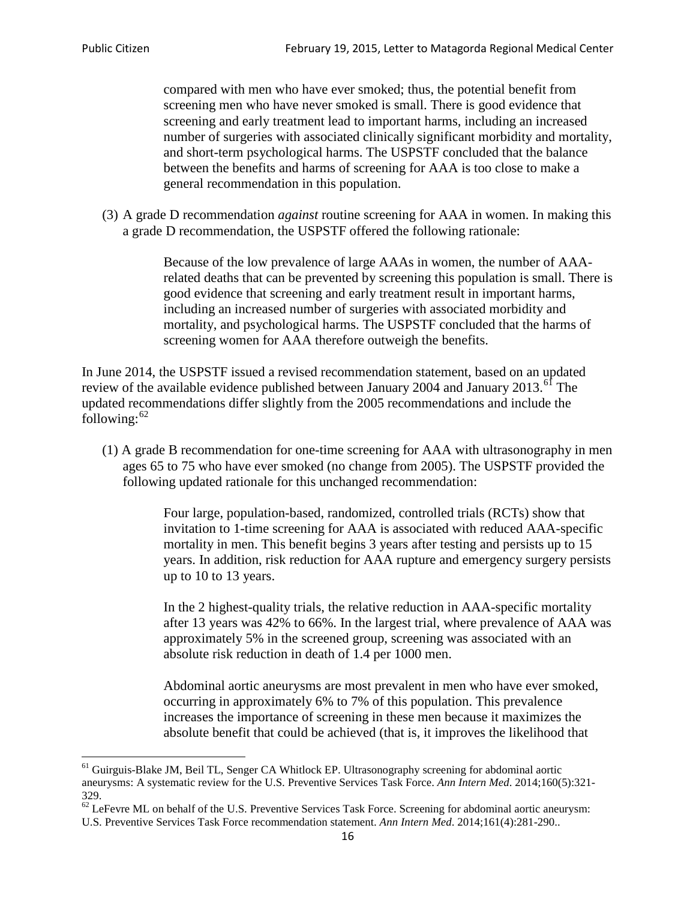compared with men who have ever smoked; thus, the potential benefit from screening men who have never smoked is small. There is good evidence that screening and early treatment lead to important harms, including an increased number of surgeries with associated clinically significant morbidity and mortality, and short-term psychological harms. The USPSTF concluded that the balance between the benefits and harms of screening for AAA is too close to make a general recommendation in this population.

(3) A grade D recommendation *against* routine screening for AAA in women. In making this a grade D recommendation, the USPSTF offered the following rationale:

> Because of the low prevalence of large AAAs in women, the number of AAArelated deaths that can be prevented by screening this population is small. There is good evidence that screening and early treatment result in important harms, including an increased number of surgeries with associated morbidity and mortality, and psychological harms. The USPSTF concluded that the harms of screening women for AAA therefore outweigh the benefits.

In June 2014, the USPSTF issued a revised recommendation statement, based on an updated review of the available evidence published between January 2004 and January 2013.<sup>[61](#page-15-0)</sup> The updated recommendations differ slightly from the 2005 recommendations and include the following: $62$ 

(1) A grade B recommendation for one-time screening for AAA with ultrasonography in men ages 65 to 75 who have ever smoked (no change from 2005). The USPSTF provided the following updated rationale for this unchanged recommendation:

> Four large, population-based, randomized, controlled trials (RCTs) show that invitation to 1-time screening for AAA is associated with reduced AAA-specific mortality in men. This benefit begins 3 years after testing and persists up to 15 years. In addition, risk reduction for AAA rupture and emergency surgery persists up to 10 to 13 years.

> In the 2 highest-quality trials, the relative reduction in AAA-specific mortality after 13 years was 42% to 66%. In the largest trial, where prevalence of AAA was approximately 5% in the screened group, screening was associated with an absolute risk reduction in death of 1.4 per 1000 men.

Abdominal aortic aneurysms are most prevalent in men who have ever smoked, occurring in approximately 6% to 7% of this population. This prevalence increases the importance of screening in these men because it maximizes the absolute benefit that could be achieved (that is, it improves the likelihood that

<span id="page-15-0"></span><sup>61</sup> Guirguis-Blake JM, Beil TL, Senger CA Whitlock EP. Ultrasonography screening for abdominal aortic aneurysms: A systematic review for the U.S. Preventive Services Task Force. *Ann Intern Med*. 2014;160(5):321- 329.

<span id="page-15-1"></span> $62$  LeFevre ML on behalf of the U.S. Preventive Services Task Force. Screening for abdominal aortic aneurysm: U.S. Preventive Services Task Force recommendation statement. *Ann Intern Med*. 2014;161(4):281-290..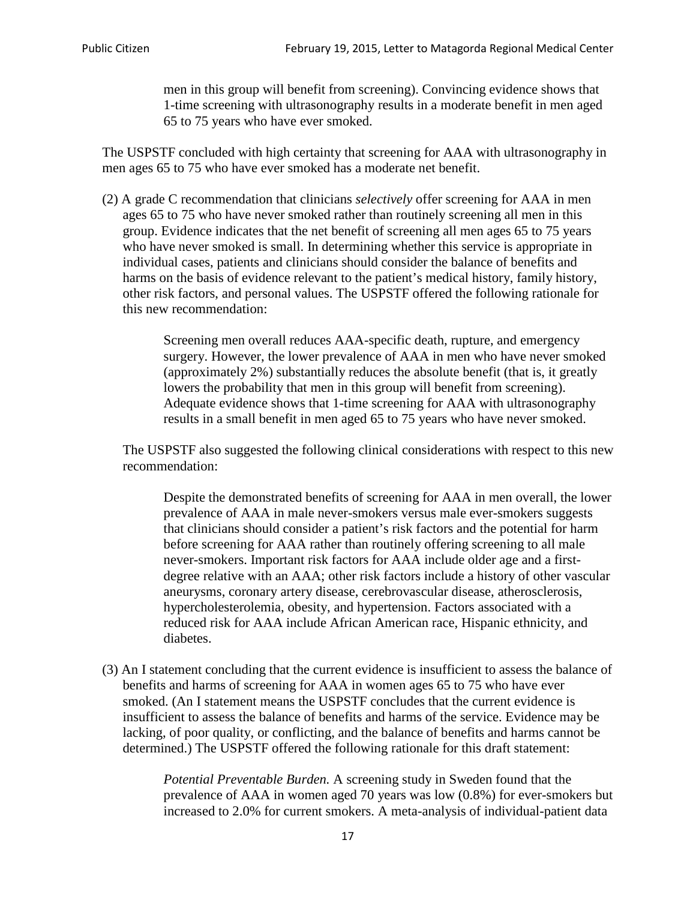men in this group will benefit from screening). Convincing evidence shows that 1-time screening with ultrasonography results in a moderate benefit in men aged 65 to 75 years who have ever smoked.

The USPSTF concluded with high certainty that screening for AAA with ultrasonography in men ages 65 to 75 who have ever smoked has a moderate net benefit.

(2) A grade C recommendation that clinicians *selectively* offer screening for AAA in men ages 65 to 75 who have never smoked rather than routinely screening all men in this group. Evidence indicates that the net benefit of screening all men ages 65 to 75 years who have never smoked is small. In determining whether this service is appropriate in individual cases, patients and clinicians should consider the balance of benefits and harms on the basis of evidence relevant to the patient's medical history, family history, other risk factors, and personal values. The USPSTF offered the following rationale for this new recommendation:

> Screening men overall reduces AAA-specific death, rupture, and emergency surgery. However, the lower prevalence of AAA in men who have never smoked (approximately 2%) substantially reduces the absolute benefit (that is, it greatly lowers the probability that men in this group will benefit from screening). Adequate evidence shows that 1-time screening for AAA with ultrasonography results in a small benefit in men aged 65 to 75 years who have never smoked.

The USPSTF also suggested the following clinical considerations with respect to this new recommendation:

Despite the demonstrated benefits of screening for AAA in men overall, the lower prevalence of AAA in male never-smokers versus male ever-smokers suggests that clinicians should consider a patient's risk factors and the potential for harm before screening for AAA rather than routinely offering screening to all male never-smokers. Important risk factors for AAA include older age and a firstdegree relative with an AAA; other risk factors include a history of other vascular aneurysms, coronary artery disease, cerebrovascular disease, atherosclerosis, hypercholesterolemia, obesity, and hypertension. Factors associated with a reduced risk for AAA include African American race, Hispanic ethnicity, and diabetes.

(3) An I statement concluding that the current evidence is insufficient to assess the balance of benefits and harms of screening for AAA in women ages 65 to 75 who have ever smoked. (An I statement means the USPSTF concludes that the current evidence is insufficient to assess the balance of benefits and harms of the service. Evidence may be lacking, of poor quality, or conflicting, and the balance of benefits and harms cannot be determined.) The USPSTF offered the following rationale for this draft statement:

> *Potential Preventable Burden.* A screening study in Sweden found that the prevalence of AAA in women aged 70 years was low (0.8%) for ever-smokers but increased to 2.0% for current smokers. A meta-analysis of individual-patient data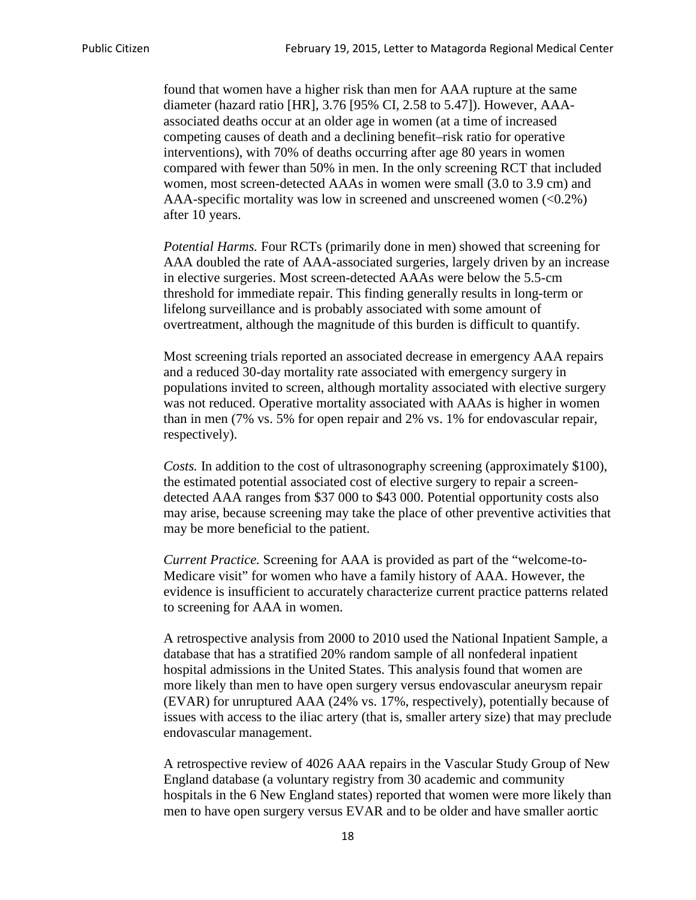found that women have a higher risk than men for AAA rupture at the same diameter (hazard ratio [HR], 3.76 [95% CI, 2.58 to 5.47]). However, AAAassociated deaths occur at an older age in women (at a time of increased competing causes of death and a declining benefit–risk ratio for operative interventions), with 70% of deaths occurring after age 80 years in women compared with fewer than 50% in men. In the only screening RCT that included women, most screen-detected AAAs in women were small (3.0 to 3.9 cm) and AAA-specific mortality was low in screened and unscreened women  $(<0.2\%)$ after 10 years.

*Potential Harms.* Four RCTs (primarily done in men) showed that screening for AAA doubled the rate of AAA-associated surgeries, largely driven by an increase in elective surgeries. Most screen-detected AAAs were below the 5.5-cm threshold for immediate repair. This finding generally results in long-term or lifelong surveillance and is probably associated with some amount of overtreatment, although the magnitude of this burden is difficult to quantify.

Most screening trials reported an associated decrease in emergency AAA repairs and a reduced 30-day mortality rate associated with emergency surgery in populations invited to screen, although mortality associated with elective surgery was not reduced. Operative mortality associated with AAAs is higher in women than in men (7% vs. 5% for open repair and 2% vs. 1% for endovascular repair, respectively).

*Costs.* In addition to the cost of ultrasonography screening (approximately \$100), the estimated potential associated cost of elective surgery to repair a screendetected AAA ranges from \$37 000 to \$43 000. Potential opportunity costs also may arise, because screening may take the place of other preventive activities that may be more beneficial to the patient.

*Current Practice.* Screening for AAA is provided as part of the "welcome-to-Medicare visit" for women who have a family history of AAA. However, the evidence is insufficient to accurately characterize current practice patterns related to screening for AAA in women.

A retrospective analysis from 2000 to 2010 used the National Inpatient Sample, a database that has a stratified 20% random sample of all nonfederal inpatient hospital admissions in the United States. This analysis found that women are more likely than men to have open surgery versus endovascular aneurysm repair (EVAR) for unruptured AAA (24% vs. 17%, respectively), potentially because of issues with access to the iliac artery (that is, smaller artery size) that may preclude endovascular management.

A retrospective review of 4026 AAA repairs in the Vascular Study Group of New England database (a voluntary registry from 30 academic and community hospitals in the 6 New England states) reported that women were more likely than men to have open surgery versus EVAR and to be older and have smaller aortic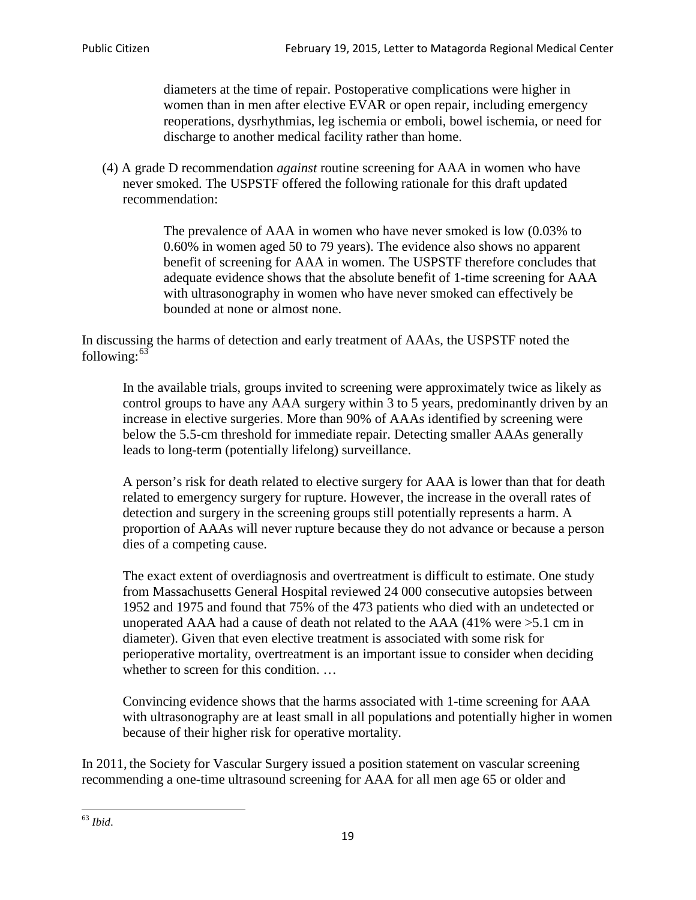diameters at the time of repair. Postoperative complications were higher in women than in men after elective EVAR or open repair, including emergency reoperations, dysrhythmias, leg ischemia or emboli, bowel ischemia, or need for discharge to another medical facility rather than home.

(4) A grade D recommendation *against* routine screening for AAA in women who have never smoked. The USPSTF offered the following rationale for this draft updated recommendation:

> The prevalence of AAA in women who have never smoked is low (0.03% to 0.60% in women aged 50 to 79 years). The evidence also shows no apparent benefit of screening for AAA in women. The USPSTF therefore concludes that adequate evidence shows that the absolute benefit of 1-time screening for AAA with ultrasonography in women who have never smoked can effectively be bounded at none or almost none.

In discussing the harms of detection and early treatment of AAAs, the USPSTF noted the following: $63$ 

In the available trials, groups invited to screening were approximately twice as likely as control groups to have any AAA surgery within 3 to 5 years, predominantly driven by an increase in elective surgeries. More than 90% of AAAs identified by screening were below the 5.5-cm threshold for immediate repair. Detecting smaller AAAs generally leads to long-term (potentially lifelong) surveillance.

A person's risk for death related to elective surgery for AAA is lower than that for death related to emergency surgery for rupture. However, the increase in the overall rates of detection and surgery in the screening groups still potentially represents a harm. A proportion of AAAs will never rupture because they do not advance or because a person dies of a competing cause.

The exact extent of overdiagnosis and overtreatment is difficult to estimate. One study from Massachusetts General Hospital reviewed 24 000 consecutive autopsies between 1952 and 1975 and found that 75% of the 473 patients who died with an undetected or unoperated AAA had a cause of death not related to the AAA (41% were >5.1 cm in diameter). Given that even elective treatment is associated with some risk for perioperative mortality, overtreatment is an important issue to consider when deciding whether to screen for this condition....

Convincing evidence shows that the harms associated with 1-time screening for AAA with ultrasonography are at least small in all populations and potentially higher in women because of their higher risk for operative mortality.

In 2011, the Society for Vascular Surgery issued a position statement on vascular screening recommending a one-time ultrasound screening for AAA for all men age 65 or older and

<span id="page-18-0"></span><sup>63</sup> *Ibid*.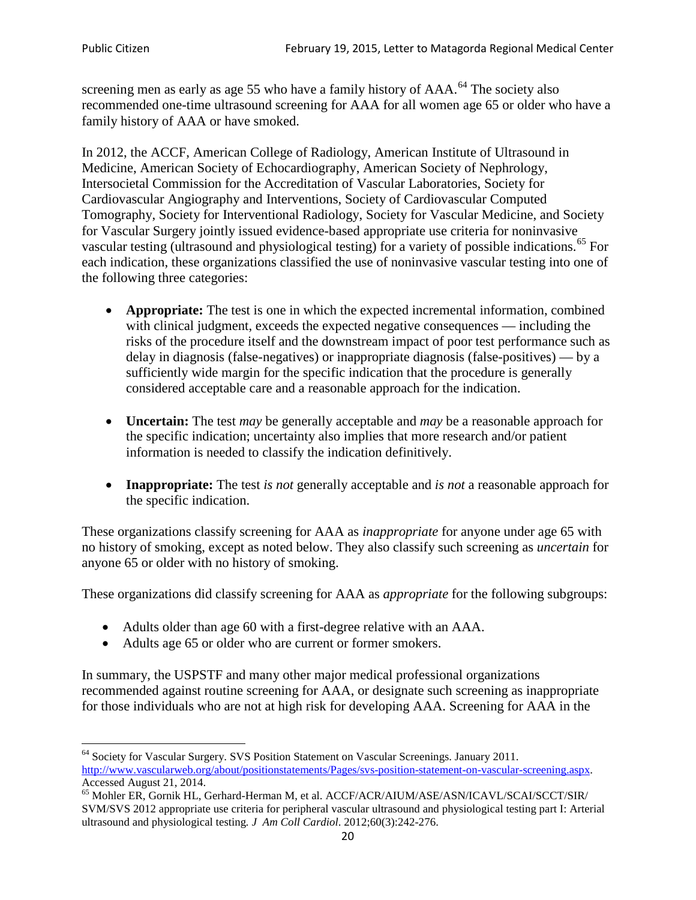screening men as early as age 55 who have a family history of AAA.<sup>[64](#page-19-0)</sup> The society also recommended one-time ultrasound screening for AAA for all women age 65 or older who have a family history of AAA or have smoked.

In 2012, the ACCF, American College of Radiology, American Institute of Ultrasound in Medicine, American Society of Echocardiography, American Society of Nephrology, Intersocietal Commission for the Accreditation of Vascular Laboratories, Society for Cardiovascular Angiography and Interventions, Society of Cardiovascular Computed Tomography, Society for Interventional Radiology, Society for Vascular Medicine, and Society for Vascular Surgery jointly issued evidence-based appropriate use criteria for noninvasive vascular testing (ultrasound and physiological testing) for a variety of possible indications.<sup>[65](#page-19-1)</sup> For each indication, these organizations classified the use of noninvasive vascular testing into one of the following three categories:

- **Appropriate:** The test is one in which the expected incremental information, combined with clinical judgment, exceeds the expected negative consequences — including the risks of the procedure itself and the downstream impact of poor test performance such as delay in diagnosis (false-negatives) or inappropriate diagnosis (false-positives) — by a sufficiently wide margin for the specific indication that the procedure is generally considered acceptable care and a reasonable approach for the indication.
- **Uncertain:** The test *may* be generally acceptable and *may* be a reasonable approach for the specific indication; uncertainty also implies that more research and/or patient information is needed to classify the indication definitively.
- **Inappropriate:** The test *is not* generally acceptable and *is not* a reasonable approach for the specific indication.

These organizations classify screening for AAA as *inappropriate* for anyone under age 65 with no history of smoking, except as noted below. They also classify such screening as *uncertain* for anyone 65 or older with no history of smoking.

These organizations did classify screening for AAA as *appropriate* for the following subgroups:

- Adults older than age 60 with a first-degree relative with an AAA.
- Adults age 65 or older who are current or former smokers.

In summary, the USPSTF and many other major medical professional organizations recommended against routine screening for AAA, or designate such screening as inappropriate for those individuals who are not at high risk for developing AAA. Screening for AAA in the

<span id="page-19-0"></span><sup>64</sup> Society for Vascular Surgery. SVS Position Statement on Vascular Screenings. January 2011. [http://www.vascularweb.org/about/positionstatements/Pages/svs-position-statement-on-vascular-screening.aspx.](http://www.vascularweb.org/about/positionstatements/Pages/svs-position-statement-on-vascular-screening.aspx) 

<span id="page-19-1"></span>Accessed August 21, 2014.<br><sup>65</sup> Mohler ER, Gornik HL, Gerhard-Herman M, et al. ACCF/ACR/AIUM/ASE/ASN/ICAVL/SCAI/SCCT/SIR/ SVM/SVS 2012 appropriate use criteria for peripheral vascular ultrasound and physiological testing part I: Arterial ultrasound and physiological testing*. J Am Coll Cardiol*. 2012;60(3):242-276.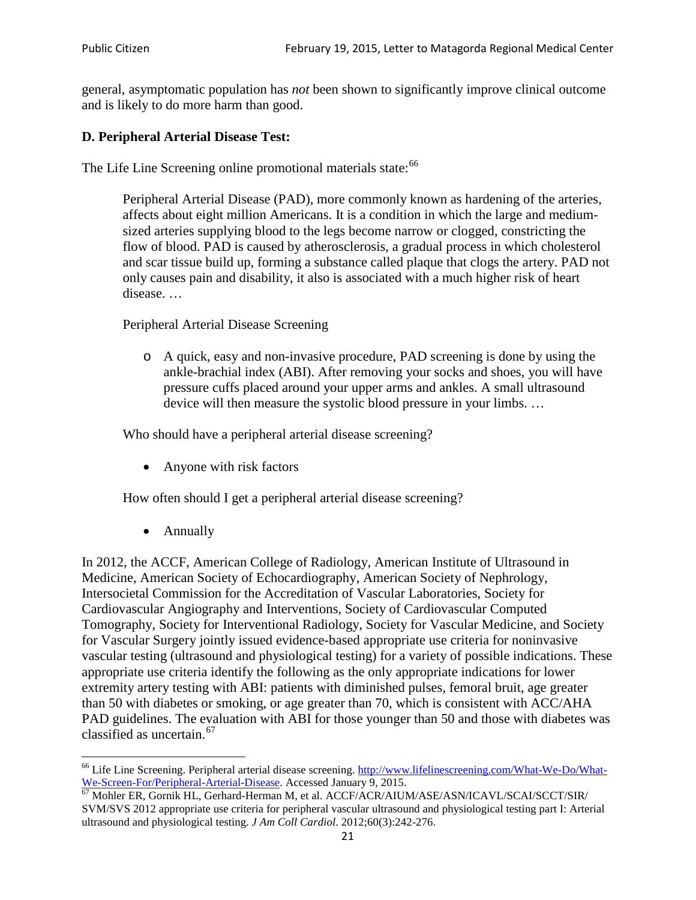general, asymptomatic population has *not* been shown to significantly improve clinical outcome and is likely to do more harm than good.

## **D. Peripheral Arterial Disease Test:**

The Life Line Screening online promotional materials state:<sup>[66](#page-20-0)</sup>

Peripheral Arterial Disease (PAD), more commonly known as hardening of the arteries, affects about eight million Americans. It is a condition in which the large and mediumsized arteries supplying blood to the legs become narrow or clogged, constricting the flow of blood. PAD is caused by atherosclerosis, a gradual process in which cholesterol and scar tissue build up, forming a substance called plaque that clogs the artery. PAD not only causes pain and disability, it also is associated with a much higher risk of heart disease. …

Peripheral Arterial Disease Screening

o A quick, easy and non-invasive procedure, PAD screening is done by using the ankle-brachial index (ABI). After removing your socks and shoes, you will have pressure cuffs placed around your upper arms and ankles. A small ultrasound device will then measure the systolic blood pressure in your limbs. …

Who should have a peripheral arterial disease screening?

• Anyone with risk factors

How often should I get a peripheral arterial disease screening?

• Annually

In 2012, the ACCF, American College of Radiology, American Institute of Ultrasound in Medicine, American Society of Echocardiography, American Society of Nephrology, Intersocietal Commission for the Accreditation of Vascular Laboratories, Society for Cardiovascular Angiography and Interventions, Society of Cardiovascular Computed Tomography, Society for Interventional Radiology, Society for Vascular Medicine, and Society for Vascular Surgery jointly issued evidence-based appropriate use criteria for noninvasive vascular testing (ultrasound and physiological testing) for a variety of possible indications. These appropriate use criteria identify the following as the only appropriate indications for lower extremity artery testing with ABI: patients with diminished pulses, femoral bruit, age greater than 50 with diabetes or smoking, or age greater than 70, which is consistent with ACC/AHA PAD guidelines. The evaluation with ABI for those younger than 50 and those with diabetes was classified as uncertain.<sup>[67](#page-20-1)</sup>

<span id="page-20-0"></span><sup>&</sup>lt;sup>66</sup> Life Line Screening. Peripheral arterial disease screening. [http://www.lifelinescreening.com/What-We-Do/What-](http://www.lifelinescreening.com/What-We-Do/What-We-Screen-For/Peripheral-Arterial-Disease)

<span id="page-20-1"></span>[We-Screen-For/Peripheral-Arterial-Disease.](http://www.lifelinescreening.com/What-We-Do/What-We-Screen-For/Peripheral-Arterial-Disease) Accessed January 9, 2015.<br><sup>67</sup> Mohler ER, Gornik HL, Gerhard-Herman M, et al. ACCF/ACR/AIUM/ASE/ASN/ICAVL/SCAI/SCCT/SIR/ SVM/SVS 2012 appropriate use criteria for peripheral vascular ultrasound and physiological testing part I: Arterial ultrasound and physiological testing. *J Am Coll Cardiol*. 2012;60(3):242-276.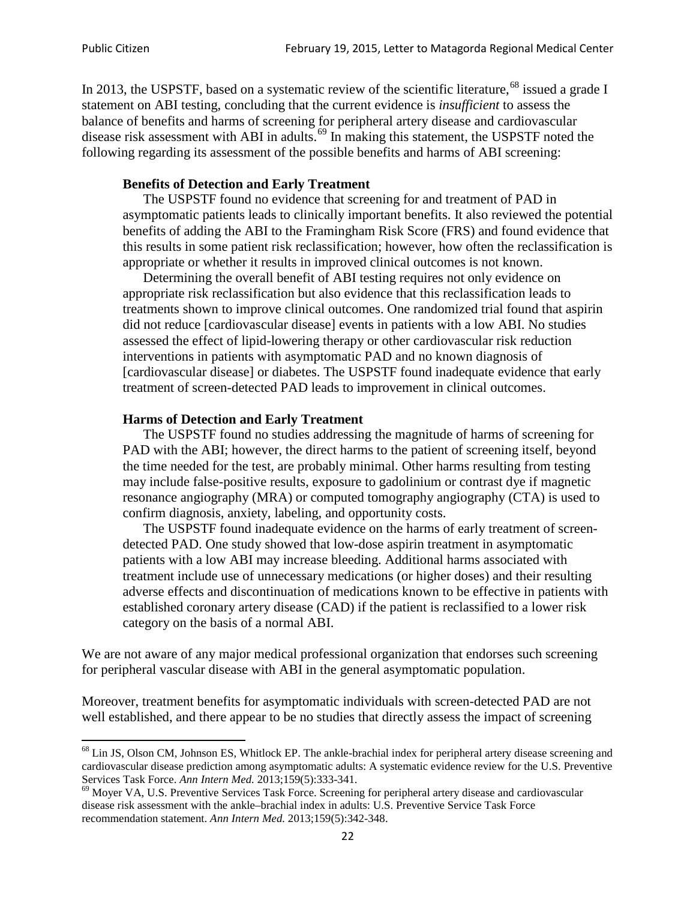In 2013, the USPSTF, based on a systematic review of the scientific literature,<sup>[68](#page-21-0)</sup> issued a grade I statement on ABI testing, concluding that the current evidence is *insufficient* to assess the balance of benefits and harms of screening for peripheral artery disease and cardiovascular disease risk assessment with ABI in adults.<sup>[69](#page-21-1)</sup> In making this statement, the USPSTF noted the following regarding its assessment of the possible benefits and harms of ABI screening:

#### **Benefits of Detection and Early Treatment**

The USPSTF found no evidence that screening for and treatment of PAD in asymptomatic patients leads to clinically important benefits. It also reviewed the potential benefits of adding the ABI to the Framingham Risk Score (FRS) and found evidence that this results in some patient risk reclassification; however, how often the reclassification is appropriate or whether it results in improved clinical outcomes is not known.

Determining the overall benefit of ABI testing requires not only evidence on appropriate risk reclassification but also evidence that this reclassification leads to treatments shown to improve clinical outcomes. One randomized trial found that aspirin did not reduce [cardiovascular disease] events in patients with a low ABI. No studies assessed the effect of lipid-lowering therapy or other cardiovascular risk reduction interventions in patients with asymptomatic PAD and no known diagnosis of [cardiovascular disease] or diabetes. The USPSTF found inadequate evidence that early treatment of screen-detected PAD leads to improvement in clinical outcomes.

#### **Harms of Detection and Early Treatment**

The USPSTF found no studies addressing the magnitude of harms of screening for PAD with the ABI; however, the direct harms to the patient of screening itself, beyond the time needed for the test, are probably minimal. Other harms resulting from testing may include false-positive results, exposure to gadolinium or contrast dye if magnetic resonance angiography (MRA) or computed tomography angiography (CTA) is used to confirm diagnosis, anxiety, labeling, and opportunity costs.

The USPSTF found inadequate evidence on the harms of early treatment of screendetected PAD. One study showed that low-dose aspirin treatment in asymptomatic patients with a low ABI may increase bleeding. Additional harms associated with treatment include use of unnecessary medications (or higher doses) and their resulting adverse effects and discontinuation of medications known to be effective in patients with established coronary artery disease (CAD) if the patient is reclassified to a lower risk category on the basis of a normal ABI.

We are not aware of any major medical professional organization that endorses such screening for peripheral vascular disease with ABI in the general asymptomatic population.

Moreover, treatment benefits for asymptomatic individuals with screen-detected PAD are not well established, and there appear to be no studies that directly assess the impact of screening

<span id="page-21-0"></span><sup>&</sup>lt;sup>68</sup> Lin JS, Olson CM, Johnson ES, Whitlock EP. The ankle-brachial index for peripheral artery disease screening and cardiovascular disease prediction among asymptomatic adults: A systematic evidence review for the U.S. Preventive Services Task Force. *Ann Intern Med.* 2013;159(5):333-341.<br><sup>69</sup> Moyer VA, U.S. Preventive Services Task Force. Screening for peripheral artery disease and cardiovascular

<span id="page-21-1"></span>disease risk assessment with the ankle–brachial index in adults: U.S. Preventive Service Task Force recommendation statement. *Ann Intern Med.* 2013;159(5):342-348.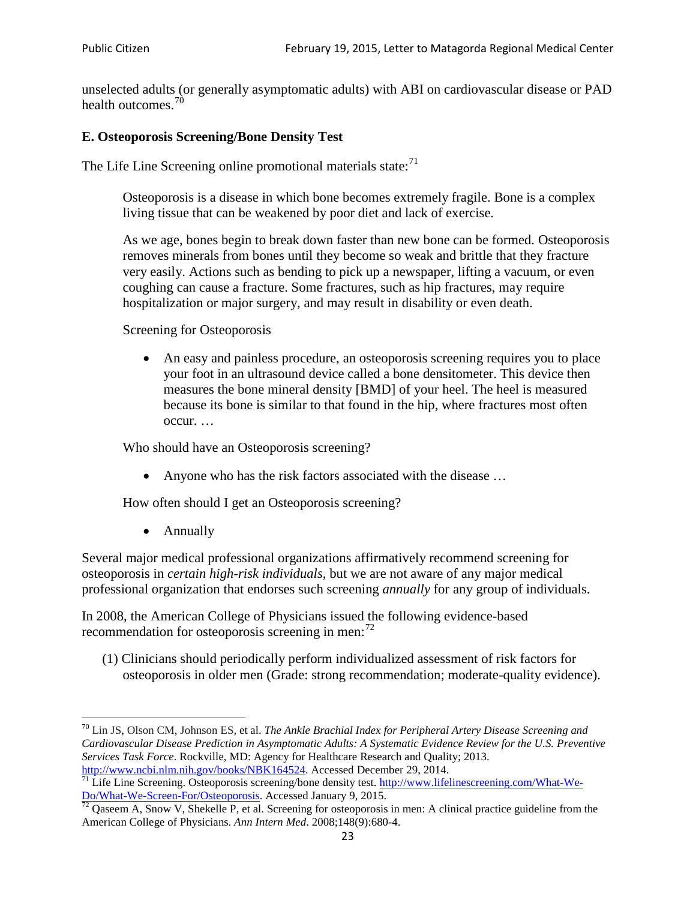unselected adults (or generally asymptomatic adults) with ABI on cardiovascular disease or PAD health outcomes.<sup>[70](#page-22-0)</sup>

### **E. Osteoporosis Screening/Bone Density Test**

The Life Line Screening online promotional materials state: $71$ 

Osteoporosis is a disease in which bone becomes extremely fragile. Bone is a complex living tissue that can be weakened by poor diet and lack of exercise.

As we age, bones begin to break down faster than new bone can be formed. Osteoporosis removes minerals from bones until they become so weak and brittle that they fracture very easily. Actions such as bending to pick up a newspaper, lifting a vacuum, or even coughing can cause a fracture. Some fractures, such as hip fractures, may require hospitalization or major surgery, and may result in disability or even death.

Screening for Osteoporosis

• An easy and painless procedure, an osteoporosis screening requires you to place your foot in an ultrasound device called a bone densitometer. This device then measures the bone mineral density [BMD] of your heel. The heel is measured because its bone is similar to that found in the hip, where fractures most often occur. …

Who should have an Osteoporosis screening?

• Anyone who has the risk factors associated with the disease ...

How often should I get an Osteoporosis screening?

• Annually

Several major medical professional organizations affirmatively recommend screening for osteoporosis in *certain high-risk individuals*, but we are not aware of any major medical professional organization that endorses such screening *annually* for any group of individuals.

In 2008, the American College of Physicians issued the following evidence-based recommendation for osteoporosis screening in men: $^{72}$  $^{72}$  $^{72}$ 

(1) Clinicians should periodically perform individualized assessment of risk factors for osteoporosis in older men (Grade: strong recommendation; moderate-quality evidence).

<span id="page-22-0"></span><sup>70</sup> [Lin JS,](http://www.ncbi.nlm.nih.gov/pubmed?term=Lin%20JS%5BAuthor%5D&cauthor=true&cauthor_uid=24156115) [Olson CM,](http://www.ncbi.nlm.nih.gov/pubmed?term=Olson%20CM%5BAuthor%5D&cauthor=true&cauthor_uid=24156115) [Johnson ES,](http://www.ncbi.nlm.nih.gov/pubmed?term=Johnson%20ES%5BAuthor%5D&cauthor=true&cauthor_uid=24156115) et al. *The Ankle Brachial Index for Peripheral Artery Disease Screening and Cardiovascular Disease Prediction in Asymptomatic Adults: A Systematic Evidence Review for the U.S. Preventive Services Task Force*. Rockville, MD: Agency for Healthcare Research and Quality; 2013.<br>http://www.ncbi.nlm.nih.gov/books/NBK164524. Accessed December 29, 2014.

<span id="page-22-1"></span> $\frac{1}{71}$  Life Line Screening. Osteoporosis screening/bone density test. [http://www.lifelinescreening.com/What-We-](http://www.lifelinescreening.com/What-We-Do/What-We-Screen-For/Osteoporosis)[Do/What-We-Screen-For/Osteoporosis.](http://www.lifelinescreening.com/What-We-Do/What-We-Screen-For/Osteoporosis) Accessed January 9, 2015. <sup>72</sup> Qaseem A, Snow V, Shekelle P, et al. Screening for osteoporosis in men: A clinical practice guideline from the

<span id="page-22-2"></span>American College of Physicians. *Ann Intern Med*. 2008;148(9):680-4.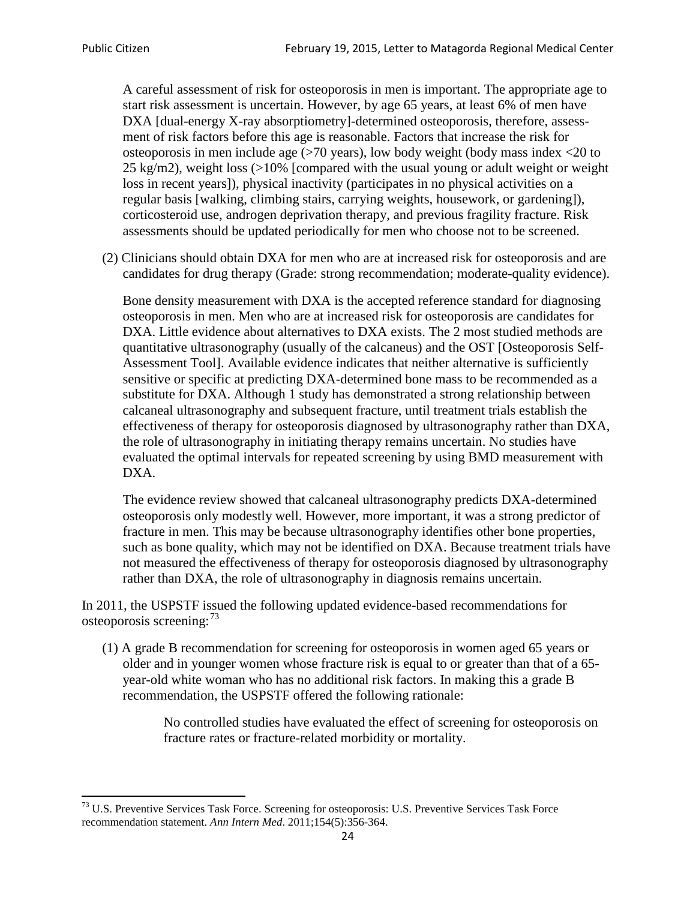A careful assessment of risk for osteoporosis in men is important. The appropriate age to start risk assessment is uncertain. However, by age 65 years, at least 6% of men have DXA [dual-energy X-ray absorptiometry]-determined osteoporosis, therefore, assessment of risk factors before this age is reasonable. Factors that increase the risk for osteoporosis in men include age (>70 years), low body weight (body mass index <20 to 25 kg/m2), weight loss (>10% [compared with the usual young or adult weight or weight loss in recent years]), physical inactivity (participates in no physical activities on a regular basis [walking, climbing stairs, carrying weights, housework, or gardening]), corticosteroid use, androgen deprivation therapy, and previous fragility fracture. Risk assessments should be updated periodically for men who choose not to be screened.

(2) Clinicians should obtain DXA for men who are at increased risk for osteoporosis and are candidates for drug therapy (Grade: strong recommendation; moderate-quality evidence).

Bone density measurement with DXA is the accepted reference standard for diagnosing osteoporosis in men. Men who are at increased risk for osteoporosis are candidates for DXA. Little evidence about alternatives to DXA exists. The 2 most studied methods are quantitative ultrasonography (usually of the calcaneus) and the OST [Osteoporosis Self-Assessment Tool]. Available evidence indicates that neither alternative is sufficiently sensitive or specific at predicting DXA-determined bone mass to be recommended as a substitute for DXA. Although 1 study has demonstrated a strong relationship between calcaneal ultrasonography and subsequent fracture, until treatment trials establish the effectiveness of therapy for osteoporosis diagnosed by ultrasonography rather than DXA, the role of ultrasonography in initiating therapy remains uncertain. No studies have evaluated the optimal intervals for repeated screening by using BMD measurement with DXA.

The evidence review showed that calcaneal ultrasonography predicts DXA-determined osteoporosis only modestly well. However, more important, it was a strong predictor of fracture in men. This may be because ultrasonography identifies other bone properties, such as bone quality, which may not be identified on DXA. Because treatment trials have not measured the effectiveness of therapy for osteoporosis diagnosed by ultrasonography rather than DXA, the role of ultrasonography in diagnosis remains uncertain.

In 2011, the USPSTF issued the following updated evidence-based recommendations for osteoporosis screening:<sup>[73](#page-23-0)</sup>

(1) A grade B recommendation for screening for osteoporosis in women aged 65 years or older and in younger women whose fracture risk is equal to or greater than that of a 65 year-old white woman who has no additional risk factors. In making this a grade B recommendation, the USPSTF offered the following rationale:

> No controlled studies have evaluated the effect of screening for osteoporosis on fracture rates or fracture-related morbidity or mortality.

<span id="page-23-0"></span><sup>&</sup>lt;sup>73</sup> U.S. Preventive Services Task Force. Screening for osteoporosis: U.S. Preventive Services Task Force recommendation statement. *Ann Intern Med*. 2011;154(5):356-364.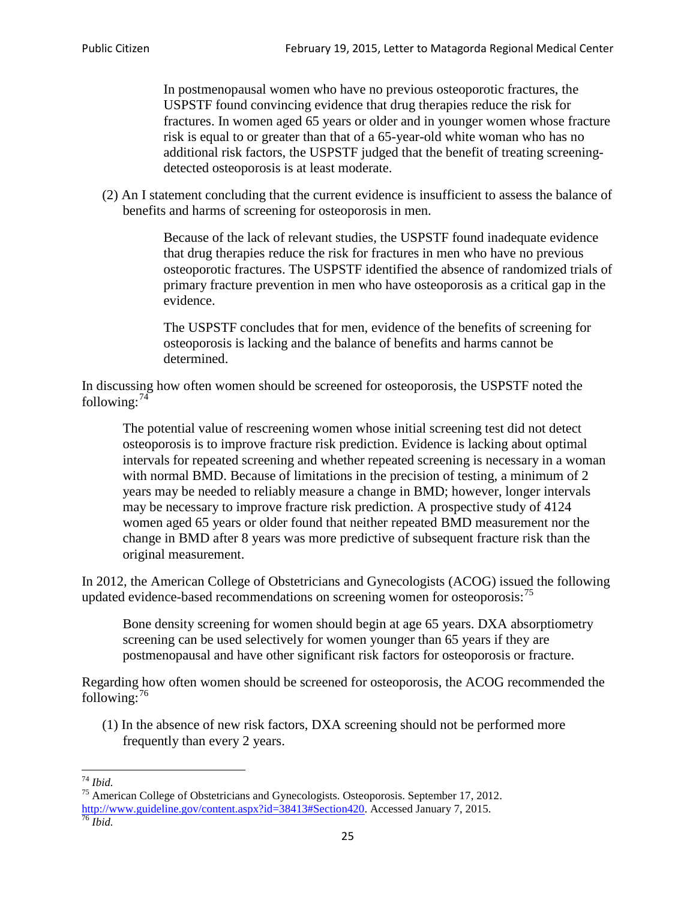In postmenopausal women who have no previous osteoporotic fractures, the USPSTF found convincing evidence that drug therapies reduce the risk for fractures. In women aged 65 years or older and in younger women whose fracture risk is equal to or greater than that of a 65-year-old white woman who has no additional risk factors, the USPSTF judged that the benefit of treating screeningdetected osteoporosis is at least moderate.

(2) An I statement concluding that the current evidence is insufficient to assess the balance of benefits and harms of screening for osteoporosis in men.

> Because of the lack of relevant studies, the USPSTF found inadequate evidence that drug therapies reduce the risk for fractures in men who have no previous osteoporotic fractures. The USPSTF identified the absence of randomized trials of primary fracture prevention in men who have osteoporosis as a critical gap in the evidence.

The USPSTF concludes that for men, evidence of the benefits of screening for osteoporosis is lacking and the balance of benefits and harms cannot be determined.

In discussing how often women should be screened for osteoporosis, the USPSTF noted the following: $74$ 

The potential value of rescreening women whose initial screening test did not detect osteoporosis is to improve fracture risk prediction. Evidence is lacking about optimal intervals for repeated screening and whether repeated screening is necessary in a woman with normal BMD. Because of limitations in the precision of testing, a minimum of 2 years may be needed to reliably measure a change in BMD; however, longer intervals may be necessary to improve fracture risk prediction. A prospective study of 4124 women aged 65 years or older found that neither repeated BMD measurement nor the change in BMD after 8 years was more predictive of subsequent fracture risk than the original measurement.

In 2012, the American College of Obstetricians and Gynecologists (ACOG) issued the following updated evidence-based recommendations on screening women for osteoporosis:<sup>[75](#page-24-1)</sup>

Bone density screening for women should begin at age 65 years. DXA absorptiometry screening can be used selectively for women younger than 65 years if they are postmenopausal and have other significant risk factors for osteoporosis or fracture.

Regarding how often women should be screened for osteoporosis, the ACOG recommended the following: $^{76}$  $^{76}$  $^{76}$ 

(1) In the absence of new risk factors, DXA screening should not be performed more frequently than every 2 years.

<span id="page-24-2"></span><span id="page-24-1"></span><span id="page-24-0"></span><sup>74</sup> *Ibid.* <sup>75</sup> American College of Obstetricians and Gynecologists. Osteoporosis. September 17, 2012. [http://www.guideline.gov/content.aspx?id=38413#Section420.](http://www.guideline.gov/content.aspx?id=38413#Section420) Accessed January 7, 2015.<br><sup>76</sup> *Ibid.*